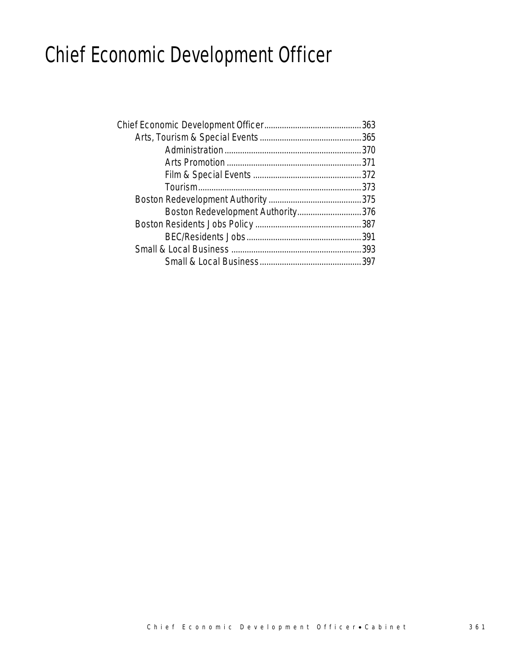# Chief Economic Development Officer

| Boston Redevelopment Authority376 |  |
|-----------------------------------|--|
|                                   |  |
|                                   |  |
|                                   |  |
|                                   |  |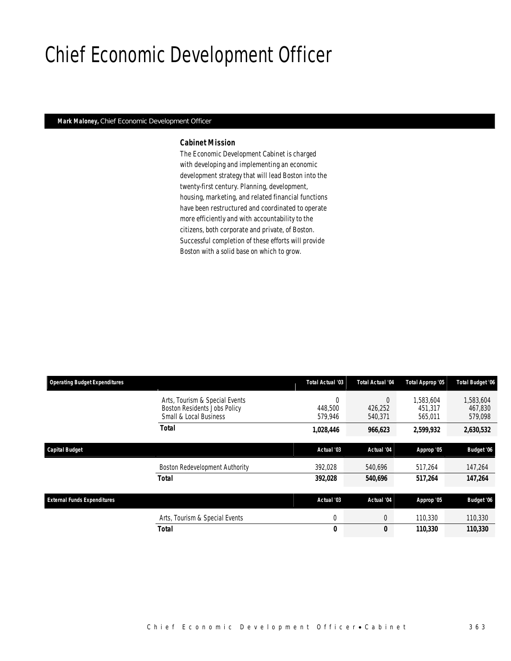## Chief Economic Development Officer

#### *Mark Maloney, Chief Economic Development Officer*

#### *Cabinet Mission*

The Economic Development Cabinet is charged with developing and implementing an economic development strategy that will lead Boston into the twenty-first century. Planning, development, housing, marketing, and related financial functions have been restructured and coordinated to operate more efficiently and with accountability to the citizens, both corporate and private, of Boston. Successful completion of these efforts will provide Boston with a solid base on which to grow.

| <b>Operating Budget Expenditures</b> |                                                                                                 | Total Actual '03   | Total Actual '04               | Total Approp '05                | <b>Total Budget '06</b>         |
|--------------------------------------|-------------------------------------------------------------------------------------------------|--------------------|--------------------------------|---------------------------------|---------------------------------|
|                                      | Arts, Tourism & Special Events<br><b>Boston Residents Jobs Policy</b><br>Small & Local Business | 448,500<br>579,946 | $\Omega$<br>426.252<br>540,371 | 1,583,604<br>451.317<br>565,011 | 1,583,604<br>467.830<br>579,098 |
|                                      | Total                                                                                           | 1,028,446          | 966,623                        | 2,599,932                       | 2,630,532                       |
| <b>Capital Budget</b>                |                                                                                                 | Actual '03         | Actual '04                     | Approp '05                      | Budget '06                      |
|                                      | Boston Redevelopment Authority                                                                  | 392,028            | 540,696                        | 517,264                         | 147,264                         |
|                                      | Total                                                                                           | 392,028            | 540,696                        | 517,264                         | 147,264                         |
| <b>External Funds Expenditures</b>   |                                                                                                 | Actual '03         | Actual '04                     | Approp '05                      | Budget '06                      |
|                                      | Arts, Tourism & Special Events                                                                  | 0                  | 0                              | 110.330                         | 110,330                         |
|                                      | Total                                                                                           | 0                  | 0                              | 110,330                         | 110,330                         |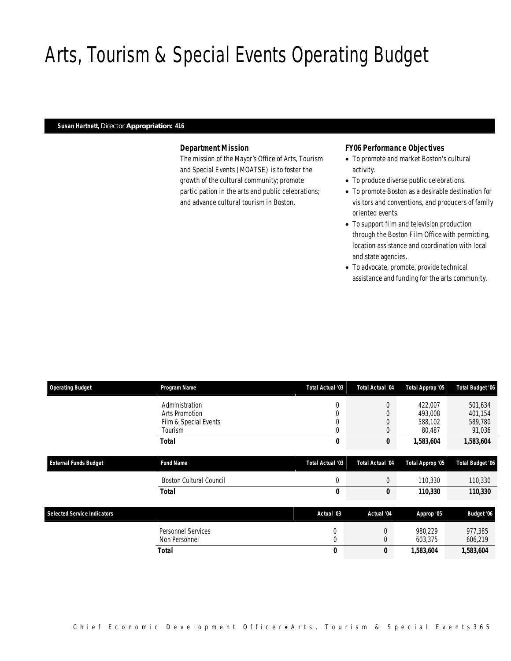# Arts, Tourism & Special Events Operating Budget

#### *Susan Hartnett, Director Appropriation: 416*

### *Department Mission*

The mission of the Mayor's Office of Arts, Tourism and Special Events (MOATSE) is to foster the growth of the cultural community; promote participation in the arts and public celebrations; and advance cultural tourism in Boston.

#### *FY06 Performance Objectives*

- To promote and market Boston's cultural activity.
- To produce diverse public celebrations.
- To promote Boston as a desirable destination for visitors and conventions, and producers of family oriented events.
- To support film and television production through the Boston Film Office with permitting, location assistance and coordination with local and state agencies.
- To advocate, promote, provide technical assistance and funding for the arts community.

| <b>Operating Budget</b>            | Program Name                   | Total Actual '03 | <b>Total Actual '04</b> | Total Approp '05 | <b>Total Budget '06</b> |
|------------------------------------|--------------------------------|------------------|-------------------------|------------------|-------------------------|
|                                    | Administration                 | $\mathbf 0$      | 0                       | 422,007          | 501,634                 |
|                                    | <b>Arts Promotion</b>          | 0                | 0                       | 493,008          | 401,154                 |
|                                    | Film & Special Events          | 0                | 0                       | 588,102          | 589,780                 |
|                                    | Tourism                        | $\mathbf 0$      | 0                       | 80,487           | 91,036                  |
|                                    | <b>Total</b>                   | 0                | 0                       | 1,583,604        | 1,583,604               |
|                                    |                                |                  |                         |                  |                         |
| <b>External Funds Budget</b>       | <b>Fund Name</b>               | Total Actual '03 | <b>Total Actual '04</b> | Total Approp '05 | Total Budget '06        |
|                                    | <b>Boston Cultural Council</b> | 0                | 0                       | 110,330          | 110,330                 |
|                                    | <b>Total</b>                   | 0                | 0                       | 110,330          | 110,330                 |
|                                    |                                |                  |                         |                  |                         |
| <b>Selected Service Indicators</b> |                                | Actual '03       | Actual '04              | Approp '05       | Budget '06              |
|                                    | <b>Personnel Services</b>      | 0                | $\mathbf 0$             | 980,229          | 977,385                 |
|                                    | Non Personnel                  | 0                | $\overline{0}$          | 603,375          | 606,219                 |
|                                    | <b>Total</b>                   | 0                | 0                       | 1,583,604        | 1,583,604               |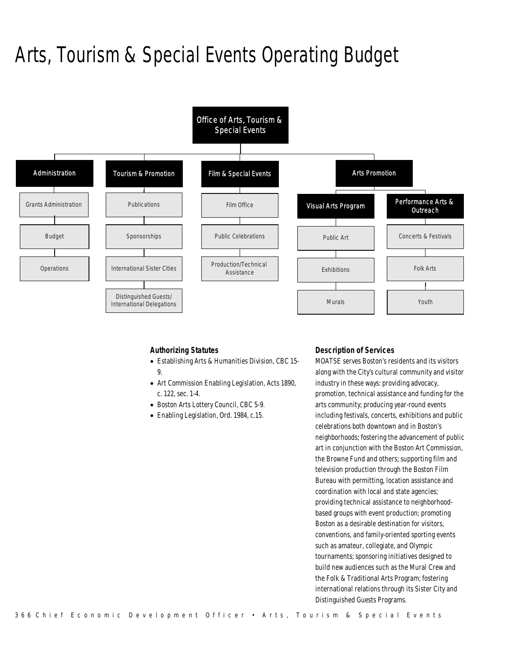# Arts, Tourism & Special Events Operating Budget



#### *Authorizing Statutes*

- Establishing Arts & Humanities Division, CBC 15- 9.
- Art Commission Enabling Legislation, Acts 1890, c. 122, sec. 1-4.
- Boston Arts Lottery Council, CBC 5-9.
- Enabling Legislation, Ord. 1984, c.15.

#### *Description of Services*

MOATSE serves Boston's residents and its visitors along with the City's cultural community and visitor industry in these ways: providing advocacy, promotion, technical assistance and funding for the arts community; producing year-round events including festivals, concerts, exhibitions and public celebrations both downtown and in Boston's neighborhoods; fostering the advancement of public art in conjunction with the Boston Art Commission, the Browne Fund and others; supporting film and television production through the Boston Film Bureau with permitting, location assistance and coordination with local and state agencies; providing technical assistance to neighborhoodbased groups with event production; promoting Boston as a desirable destination for visitors, conventions, and family-oriented sporting events such as amateur, collegiate, and Olympic tournaments; sponsoring initiatives designed to build new audiences such as the Mural Crew and the Folk & Traditional Arts Program; fostering international relations through its Sister City and Distinguished Guests Programs.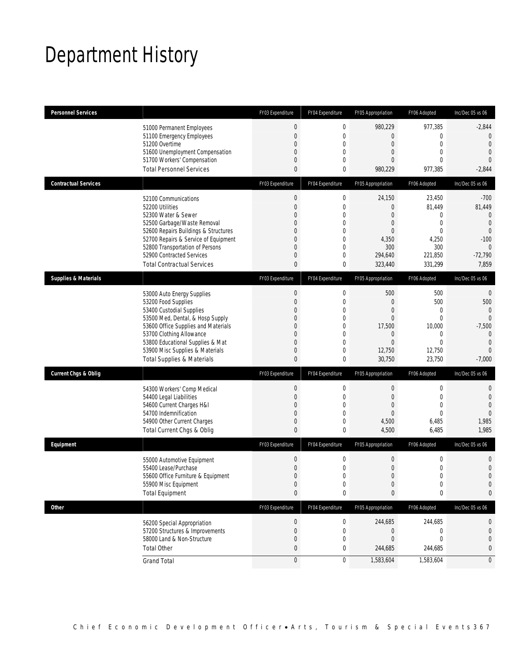# Department History

| <b>Personnel Services</b>       |                                                                                                                                                                                                                                                                                                      | FY03 Expenditure                                                                                                                                   | FY04 Expenditure                                                                                                                             | FY05 Appropriation                                                                                      | FY06 Adopted                                                                                     | Inc/Dec 05 vs 06                                                                                                 |
|---------------------------------|------------------------------------------------------------------------------------------------------------------------------------------------------------------------------------------------------------------------------------------------------------------------------------------------------|----------------------------------------------------------------------------------------------------------------------------------------------------|----------------------------------------------------------------------------------------------------------------------------------------------|---------------------------------------------------------------------------------------------------------|--------------------------------------------------------------------------------------------------|------------------------------------------------------------------------------------------------------------------|
|                                 | 51000 Permanent Employees<br>51100 Emergency Employees<br>51200 Overtime<br>51600 Unemployment Compensation<br>51700 Workers' Compensation<br><b>Total Personnel Services</b>                                                                                                                        | $\mathbf 0$<br>$\overline{0}$<br>$\overline{0}$<br>$\overline{0}$<br>$\overline{0}$<br>$\mathbf{0}$                                                | 0<br>$\mathbf 0$<br>$\mathbf{0}$<br>$\mathbf{0}$<br>$\mathbf 0$<br>$\mathbf 0$                                                               | 980,229<br>0<br>$\overline{0}$<br>$\overline{0}$<br>$\Omega$<br>980,229                                 | 977,385<br>$\Omega$<br>$\Omega$<br>$\Omega$<br>$\Omega$<br>977,385                               | $-2,844$<br>$\theta$<br>$\mathbf{0}$<br>$\mathbf{0}$<br>$\mathbf{0}$<br>$-2,844$                                 |
| <b>Contractual Services</b>     |                                                                                                                                                                                                                                                                                                      | FY03 Expenditure                                                                                                                                   | FY04 Expenditure                                                                                                                             | FY05 Appropriation                                                                                      | FY06 Adopted                                                                                     | Inc/Dec 05 vs 06                                                                                                 |
|                                 | 52100 Communications<br>52200 Utilities<br>52300 Water & Sewer<br>52500 Garbage/Waste Removal<br>52600 Repairs Buildings & Structures<br>52700 Repairs & Service of Equipment<br>52800 Transportation of Persons<br>52900 Contracted Services<br><b>Total Contractual Services</b>                   | $\boldsymbol{0}$<br>$\overline{0}$<br>$\Omega$<br>$\overline{0}$<br>$\Omega$<br>$\overline{0}$<br>$\mathbf{0}$<br>$\overline{0}$<br>$\overline{0}$ | $\boldsymbol{0}$<br>$\mathbf 0$<br>$\mathbf{0}$<br>$\mathbf 0$<br>$\mathbf{0}$<br>$\mathbf{0}$<br>$\mathbf{0}$<br>$\mathbf 0$<br>$\mathbf 0$ | 24,150<br>0<br>$\overline{0}$<br>$\overline{0}$<br>$\overline{0}$<br>4,350<br>300<br>294,640<br>323,440 | 23,450<br>81,449<br>$\Omega$<br>$\mathbf{0}$<br>$\theta$<br>4,250<br>300<br>221,850<br>331,299   | $-700$<br>81,449<br>$\theta$<br>$\mathbf{0}$<br>$\theta$<br>$-100$<br>$\overline{0}$<br>$-72,790$<br>7,859       |
| <b>Supplies &amp; Materials</b> |                                                                                                                                                                                                                                                                                                      | FY03 Expenditure                                                                                                                                   | FY04 Expenditure                                                                                                                             | FY05 Appropriation                                                                                      | FY06 Adopted                                                                                     | Inc/Dec 05 vs 06                                                                                                 |
|                                 | 53000 Auto Energy Supplies<br>53200 Food Supplies<br>53400 Custodial Supplies<br>53500 Med, Dental, & Hosp Supply<br>53600 Office Supplies and Materials<br>53700 Clothing Allowance<br>53800 Educational Supplies & Mat<br>53900 Misc Supplies & Materials<br><b>Total Supplies &amp; Materials</b> | $\theta$<br>$\overline{0}$<br>$\Omega$<br>0<br>$\mathbf{0}$<br>$\overline{0}$<br>$\overline{0}$<br>$\overline{0}$<br>$\theta$                      | $\boldsymbol{0}$<br>$\mathbf 0$<br>$\mathbf{0}$<br>$\mathbf 0$<br>$\mathbf{0}$<br>$\mathbf 0$<br>$\mathbf{0}$<br>$\mathbf 0$<br>$\mathbf 0$  | 500<br>$\overline{0}$<br>$\overline{0}$<br>$\overline{0}$<br>17,500<br>0<br>0<br>12,750<br>30,750       | 500<br>500<br>$\theta$<br>$\mathbf{0}$<br>10,000<br>$\mathbf{0}$<br>$\Omega$<br>12,750<br>23,750 | $\mathbf 0$<br>500<br>$\theta$<br>$\mathbf{0}$<br>$-7,500$<br>$\theta$<br>$\overline{0}$<br>$\theta$<br>$-7,000$ |
| <b>Current Chgs &amp; Oblig</b> |                                                                                                                                                                                                                                                                                                      | FY03 Expenditure                                                                                                                                   | FY04 Expenditure                                                                                                                             | FY05 Appropriation                                                                                      | FY06 Adopted                                                                                     | Inc/Dec 05 vs 06                                                                                                 |
|                                 | 54300 Workers' Comp Medical<br>54400 Legal Liabilities<br>54600 Current Charges H&I<br>54700 Indemnification<br>54900 Other Current Charges<br>Total Current Chgs & Oblig                                                                                                                            | $\boldsymbol{0}$<br>$\overline{0}$<br>$\Omega$<br>$\mathbf{0}$<br>0<br>$\overline{0}$                                                              | $\mathbf 0$<br>$\mathbf 0$<br>$\mathbf{0}$<br>$\mathbf 0$<br>$\mathbf{0}$<br>$\mathbf{0}$                                                    | $\mathbf 0$<br>$\overline{0}$<br>$\Omega$<br>$\Omega$<br>4,500<br>4,500                                 | $\mathbf 0$<br>$\overline{0}$<br>$\Omega$<br>$\Omega$<br>6,485<br>6,485                          | 0<br>$\mathbf 0$<br>$\mathbf{0}$<br>$\mathbf{0}$<br>1,985<br>1,985                                               |
| Equipment                       |                                                                                                                                                                                                                                                                                                      | FY03 Expenditure                                                                                                                                   | FY04 Expenditure                                                                                                                             | FY05 Appropriation                                                                                      | FY06 Adopted                                                                                     | Inc/Dec 05 vs 06                                                                                                 |
|                                 | 55000 Automotive Equipment<br>55400 Lease/Purchase<br>55600 Office Furniture & Equipment<br>55900 Misc Equipment<br><b>Total Equipment</b>                                                                                                                                                           | 0<br>$\mathbf 0$<br>$\Omega$<br>$\boldsymbol{0}$<br>$\bf{0}$                                                                                       | $\boldsymbol{0}$<br>$\mathbf 0$<br>$\Omega$<br>$\boldsymbol{0}$<br>$\bf{0}$                                                                  | $\boldsymbol{0}$<br>$\mathbf 0$<br>$\Omega$<br>$\mathbf 0$<br>0                                         | $\mathbf 0$<br>$\overline{0}$<br>$\cap$<br>$\mathbf 0$<br>0                                      | 0<br>$\boldsymbol{0}$<br>$\Omega$<br>0<br>0                                                                      |
| Other                           |                                                                                                                                                                                                                                                                                                      | FY03 Expenditure                                                                                                                                   | FY04 Expenditure                                                                                                                             | FY05 Appropriation                                                                                      | FY06 Adopted                                                                                     | Inc/Dec 05 vs 06                                                                                                 |
|                                 | 56200 Special Appropriation<br>57200 Structures & Improvements<br>58000 Land & Non-Structure<br><b>Total Other</b>                                                                                                                                                                                   | $\boldsymbol{0}$<br>0<br>0<br>$\bf{0}$                                                                                                             | $\boldsymbol{0}$<br>0<br>$\mathbf 0$<br>0                                                                                                    | 244,685<br>0<br>0<br>244,685                                                                            | 244,685<br>0<br>$\Omega$<br>244,685                                                              | 0<br>0<br>$\mathbf 0$<br>$\bf{0}$                                                                                |
|                                 | <b>Grand Total</b>                                                                                                                                                                                                                                                                                   | $\mathbf 0$                                                                                                                                        | $\boldsymbol{0}$                                                                                                                             | 1,583,604                                                                                               | 1,583,604                                                                                        | $\mathbf 0$                                                                                                      |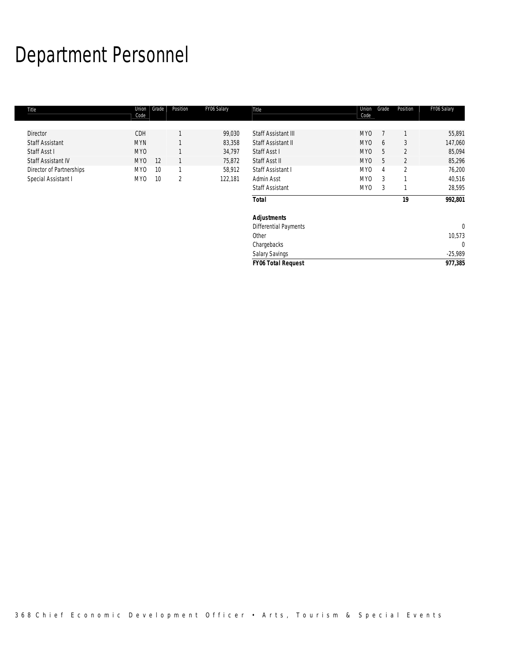# Department Personnel

| Title                    | Union<br>Code   | Grade | Position | FY06 Salary | Title                     | Union<br>Code   | Grade | Position       | FY06 Salary |
|--------------------------|-----------------|-------|----------|-------------|---------------------------|-----------------|-------|----------------|-------------|
|                          |                 |       |          |             |                           |                 |       |                |             |
| Director                 | CDH             |       |          | 99,030      | Staff Assistant III       | <b>MYO</b>      |       |                | 55,891      |
| <b>Staff Assistant</b>   | <b>MYN</b>      |       |          | 83,358      | Staff Assistant II        | <b>MYO</b>      | 6     | 3              | 147,060     |
| Staff Asst I             | MY <sub>0</sub> |       |          | 34,797      | Staff Asst I              | MY <sub>0</sub> | 5     | $\overline{2}$ | 85,094      |
| Staff Assistant IV       | MY <sub>0</sub> | 12    |          | 75,872      | Staff Asst II             | MY <sub>0</sub> | 5     | 2              | 85,296      |
| Director of Partnerships | MY <sub>0</sub> | 10    |          | 58,912      | Staff Assistant I         | MY <sub>0</sub> | 4     | 2              | 76,200      |
| Special Assistant I      | MY <sub>0</sub> | 10    | 2        | 122,181     | Admin Asst                | MY <sub>0</sub> | 3     | 1              | 40,516      |
|                          |                 |       |          |             | <b>Staff Assistant</b>    | MY <sub>0</sub> | 3     | 1              | 28,595      |
|                          |                 |       |          |             | <b>Total</b>              |                 |       | 19             | 992,801     |
|                          |                 |       |          |             | <b>Adjustments</b>        |                 |       |                |             |
|                          |                 |       |          |             | Differential Payments     |                 |       |                | $\theta$    |
|                          |                 |       |          |             | Other                     |                 |       |                | 10,573      |
|                          |                 |       |          |             | Chargebacks               |                 |       |                | $\Omega$    |
|                          |                 |       |          |             | <b>Salary Savings</b>     |                 |       |                | $-25,989$   |
|                          |                 |       |          |             | <b>FY06 Total Request</b> |                 |       |                | 977,385     |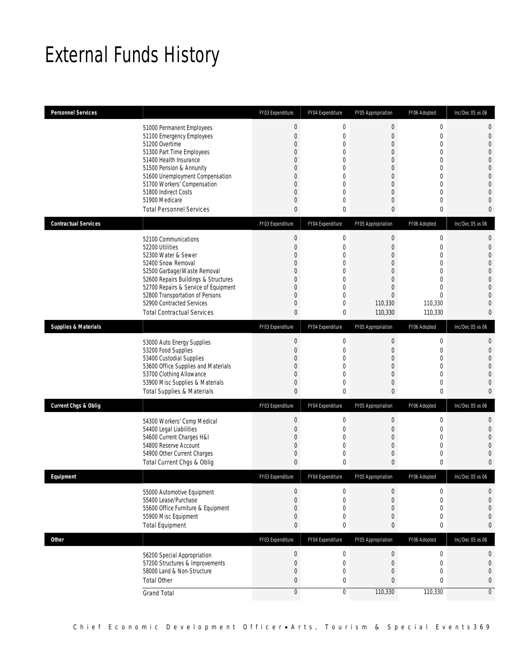# External Funds History

| <b>Personnel Services</b>       |                                                                                                                                                                                                                                                                                                            | FY03 Expenditure                                                                                                                                              | FY04 Expenditure                                                                                                                                                             | FY05 Appropriation                                                                                                       | FY06 Adopted                                                                                                                        | Inc/Dec 05 vs 06                                                                                                                                                     |
|---------------------------------|------------------------------------------------------------------------------------------------------------------------------------------------------------------------------------------------------------------------------------------------------------------------------------------------------------|---------------------------------------------------------------------------------------------------------------------------------------------------------------|------------------------------------------------------------------------------------------------------------------------------------------------------------------------------|--------------------------------------------------------------------------------------------------------------------------|-------------------------------------------------------------------------------------------------------------------------------------|----------------------------------------------------------------------------------------------------------------------------------------------------------------------|
|                                 | 51000 Permanent Employees<br>51100 Emergency Employees<br>51200 Overtime<br>51300 Part Time Employees<br>51400 Health Insurance<br>51500 Pension & Annunity<br>51600 Unemployment Compensation<br>51700 Workers' Compensation<br>51800 Indirect Costs<br>51900 Medicare<br><b>Total Personnel Services</b> | $\boldsymbol{0}$<br>$\mathbf{0}$<br>$\Omega$<br>$\mathbf{0}$<br>0<br>$\overline{0}$<br>$\overline{0}$<br>$\Omega$<br>$\overline{0}$<br>0<br>$\overline{0}$    | $\boldsymbol{0}$<br>$\mathbf 0$<br>$\mathbf{0}$<br>$\mathbf 0$<br>$\mathbf{0}$<br>$\mathbf{0}$<br>$\mathbf{0}$<br>$\mathbf{0}$<br>$\mathbf{0}$<br>$\mathbf 0$<br>$\mathbf 0$ | $\mathbf 0$<br>$\overline{0}$<br>0<br>$\overline{0}$<br>0<br>$\overline{0}$<br>0<br>$\Omega$<br>$\overline{0}$<br>0<br>0 | $\mathbf 0$<br>$\overline{0}$<br>$\mathbf{0}$<br>$\overline{0}$<br>0<br>$\overline{0}$<br>0<br>0<br>$\overline{0}$<br>0<br>0        | $\mathbf 0$<br>$\mathbf 0$<br>$\mathbf{0}$<br>$\boldsymbol{0}$<br>$\mathbf 0$<br>$\mathbf{0}$<br>$\theta$<br>$\Omega$<br>$\mathbf{0}$<br>$\mathbf 0$<br>$\mathbf{0}$ |
| <b>Contractual Services</b>     |                                                                                                                                                                                                                                                                                                            | FY03 Expenditure                                                                                                                                              | FY04 Expenditure                                                                                                                                                             | FY05 Appropriation                                                                                                       | FY06 Adopted                                                                                                                        | Inc/Dec 05 vs 06                                                                                                                                                     |
|                                 | 52100 Communications<br>52200 Utilities<br>52300 Water & Sewer<br>52400 Snow Removal<br>52500 Garbage/Waste Removal<br>52600 Repairs Buildings & Structures<br>52700 Repairs & Service of Equipment<br>52800 Transportation of Persons<br>52900 Contracted Services<br><b>Total Contractual Services</b>   | $\theta$<br>$\overline{0}$<br>$\overline{0}$<br>$\overline{0}$<br>$\overline{0}$<br>$\Omega$<br>$\mathbf{0}$<br>$\overline{0}$<br>$\mathbf 0$<br>$\mathbf{0}$ | $\boldsymbol{0}$<br>$\mathbf 0$<br>$\mathbf{0}$<br>$\mathbf 0$<br>$\mathbf{0}$<br>$\mathbf{0}$<br>$\mathbf{0}$<br>$\mathbf{0}$<br>$\mathbf 0$<br>$\mathbf 0$                 | $\theta$<br>$\mathbf 0$<br>0<br>$\overline{0}$<br>0<br>$\Omega$<br>$\overline{0}$<br>$\Omega$<br>110,330<br>110,330      | $\mathbf 0$<br>$\mathbf 0$<br>0<br>$\overline{0}$<br>$\overline{0}$<br>$\Omega$<br>$\overline{0}$<br>$\Omega$<br>110.330<br>110,330 | $\mathbf 0$<br>$\boldsymbol{0}$<br>$\mathbf 0$<br>$\boldsymbol{0}$<br>$\boldsymbol{0}$<br>$\theta$<br>$\mathbf{0}$<br>$\mathbf 0$<br>$\mathbf{0}$<br>0               |
| <b>Supplies &amp; Materials</b> |                                                                                                                                                                                                                                                                                                            | FY03 Expenditure                                                                                                                                              | FY04 Expenditure                                                                                                                                                             | FY05 Appropriation                                                                                                       | FY06 Adopted                                                                                                                        | Inc/Dec 05 vs 06                                                                                                                                                     |
|                                 | 53000 Auto Energy Supplies<br>53200 Food Supplies<br>53400 Custodial Supplies<br>53600 Office Supplies and Materials<br>53700 Clothing Allowance<br>53900 Misc Supplies & Materials<br><b>Total Supplies &amp; Materials</b>                                                                               | $\mathbf{0}$<br>$\mathbf{0}$<br>0<br>$\overline{0}$<br>$\Omega$<br>$\mathbf 0$<br>$\overline{0}$                                                              | $\mathbf 0$<br>$\mathbf 0$<br>$\mathbf 0$<br>$\mathbf{0}$<br>$\mathbf{0}$<br>$\mathbf 0$<br>$\mathbf 0$                                                                      | $\mathbf{0}$<br>0<br>0<br>$\overline{0}$<br>0<br>0<br>0                                                                  | 0<br>0<br>0<br>$\overline{0}$<br>$\Omega$<br>$\overline{0}$<br>0                                                                    | 0<br>$\mathbf 0$<br>$\theta$<br>$\boldsymbol{0}$<br>$\Omega$<br>$\mathbf{0}$<br>$\mathbf{0}$                                                                         |
| <b>Current Chgs &amp; Oblig</b> |                                                                                                                                                                                                                                                                                                            | FY03 Expenditure                                                                                                                                              | FY04 Expenditure                                                                                                                                                             | FY05 Appropriation                                                                                                       | FY06 Adopted                                                                                                                        | Inc/Dec 05 vs 06                                                                                                                                                     |
|                                 | 54300 Workers' Comp Medical<br>54400 Legal Liabilities<br>54600 Current Charges H&I<br>54800 Reserve Account<br>54900 Other Current Charges<br>Total Current Chgs & Oblig                                                                                                                                  | $\mathbf 0$<br>$\overline{0}$<br>$\mathbf 0$<br>0<br>0<br>$\overline{0}$                                                                                      | $\mathbf 0$<br>$\mathbf{0}$<br>$\mathbf 0$<br>$\mathbf{0}$<br>$\mathbf 0$<br>0                                                                                               | 0<br>0<br>$\mathbf 0$<br>0<br>0<br>0                                                                                     | 0<br>0<br>$\overline{0}$<br>0<br>0<br>0                                                                                             | 0<br>$\theta$<br>$\mathbf{0}$<br>$\mathbf 0$<br>$\theta$<br>$\pmb{0}$                                                                                                |
| Equipment                       |                                                                                                                                                                                                                                                                                                            | FY03 Expenditure                                                                                                                                              | FY04 Expenditure                                                                                                                                                             | FY05 Appropriation                                                                                                       | FY06 Adopted                                                                                                                        | Inc/Dec 05 vs 06                                                                                                                                                     |
|                                 | 55000 Automotive Equipment<br>55400 Lease/Purchase<br>55600 Office Furniture & Equipment<br>55900 Misc Equipment<br><b>Total Equipment</b>                                                                                                                                                                 | $\boldsymbol{0}$<br>$\overline{0}$<br>0<br>$\mathbf 0$<br>$\mathbf{0}$                                                                                        | $\mathbf 0$<br>$\mathbf{0}$<br>$\mathbf 0$<br>$\mathbf 0$<br>0                                                                                                               | $\boldsymbol{0}$<br>$\overline{0}$<br>0<br>$\mathbf 0$<br>0                                                              | 0<br>$\overline{0}$<br>0<br>0<br>0                                                                                                  | $\mathbf 0$<br>$\boldsymbol{0}$<br>$\mathbf 0$<br>$\boldsymbol{0}$<br>$\bf{0}$                                                                                       |
| <b>Other</b>                    |                                                                                                                                                                                                                                                                                                            | FY03 Expenditure                                                                                                                                              | FY04 Expenditure                                                                                                                                                             | FY05 Appropriation                                                                                                       | FY06 Adopted                                                                                                                        | Inc/Dec 05 vs 06                                                                                                                                                     |
|                                 | 56200 Special Appropriation<br>57200 Structures & Improvements<br>58000 Land & Non-Structure<br><b>Total Other</b><br><b>Grand Total</b>                                                                                                                                                                   | $\boldsymbol{0}$<br>$\boldsymbol{0}$<br>$\mathbf 0$<br>0<br>$\overline{0}$                                                                                    | $\mathbf 0$<br>$\boldsymbol{0}$<br>$\mathbf 0$<br>0<br>$\overline{0}$                                                                                                        | 0<br>$\mathbf 0$<br>$\mathbf 0$<br>$\bf{0}$<br>110,330                                                                   | $\boldsymbol{0}$<br>$\mathbf 0$<br>0<br>0<br>110,330                                                                                | 0<br>$\boldsymbol{0}$<br>$\boldsymbol{0}$<br>$\pmb{0}$<br>$\boldsymbol{0}$                                                                                           |
|                                 |                                                                                                                                                                                                                                                                                                            |                                                                                                                                                               |                                                                                                                                                                              |                                                                                                                          |                                                                                                                                     |                                                                                                                                                                      |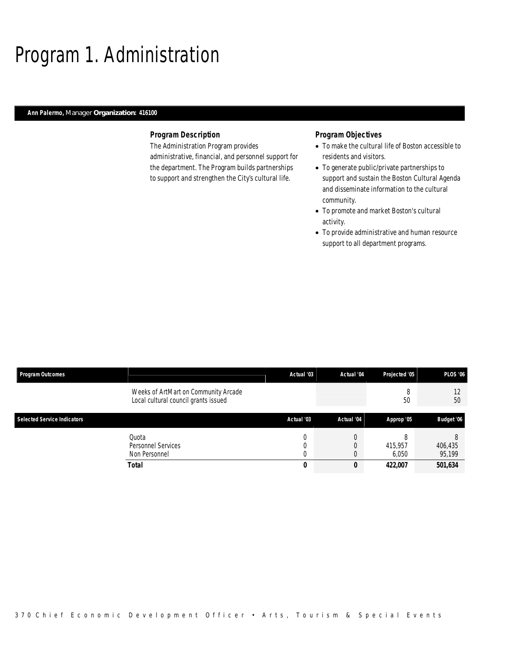## Program 1. Administration

### *Ann Palermo, Manager Organization: 416100*

#### *Program Description*

The Administration Program provides administrative, financial, and personnel support for the department. The Program builds partnerships to support and strengthen the City's cultural life.

- To make the cultural life of Boston accessible to residents and visitors.
- To generate public/private partnerships to support and sustain the Boston Cultural Agenda and disseminate information to the cultural community.
- To promote and market Boston's cultural activity.
- To provide administrative and human resource support to all department programs.

| <b>Program Outcomes</b>            |                                                                              | Actual '03 | Actual '04 | Projected '05    | <b>PLOS '06</b>   |
|------------------------------------|------------------------------------------------------------------------------|------------|------------|------------------|-------------------|
|                                    | Weeks of ArtMart on Community Arcade<br>Local cultural council grants issued |            |            | Õ<br>50          | 12<br>50          |
| <b>Selected Service Indicators</b> |                                                                              | Actual '03 | Actual '04 | Approp '05       | <b>Budget '06</b> |
|                                    | Quota<br>Personnel Services<br>Non Personnel                                 |            | υ          | 415.957<br>6.050 | 406,435<br>95,199 |
|                                    | Total                                                                        | 0          | 0          | 422.007          | 501,634           |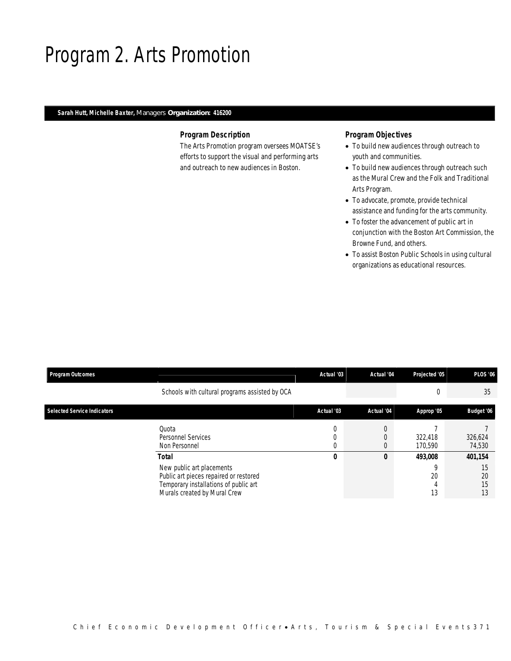# Program 2. Arts Promotion

#### *Sarah Hutt, Michelle Baxter, Managers Organization: 416200*

### *Program Description*

The Arts Promotion program oversees MOATSE's efforts to support the visual and performing arts and outreach to new audiences in Boston.

- To build new audiences through outreach to youth and communities.
- To build new audiences through outreach such as the Mural Crew and the Folk and Traditional Arts Program.
- To advocate, promote, provide technical assistance and funding for the arts community.
- To foster the advancement of public art in conjunction with the Boston Art Commission, the Browne Fund, and others.
- To assist Boston Public Schools in using cultural organizations as educational resources.

| <b>Program Outcomes</b>            |                                                                                                                                                       | Actual '03 | Actual '04 | Projected '05       | <b>PLOS '06</b>                 |
|------------------------------------|-------------------------------------------------------------------------------------------------------------------------------------------------------|------------|------------|---------------------|---------------------------------|
|                                    | Schools with cultural programs assisted by OCA                                                                                                        |            |            |                     | 35                              |
| <b>Selected Service Indicators</b> |                                                                                                                                                       | Actual '03 | Actual '04 | Approp '05          | Budget '06                      |
|                                    | Quota<br>Personnel Services<br>Non Personnel                                                                                                          | 0          | 0<br>0     | 322,418<br>170.590  | 326,624<br>74,530               |
|                                    | Total<br>New public art placements<br>Public art pieces repaired or restored<br>Temporary installations of public art<br>Murals created by Mural Crew | 0          | 0          | 493,008<br>20<br>13 | 401,154<br>15<br>20<br>15<br>13 |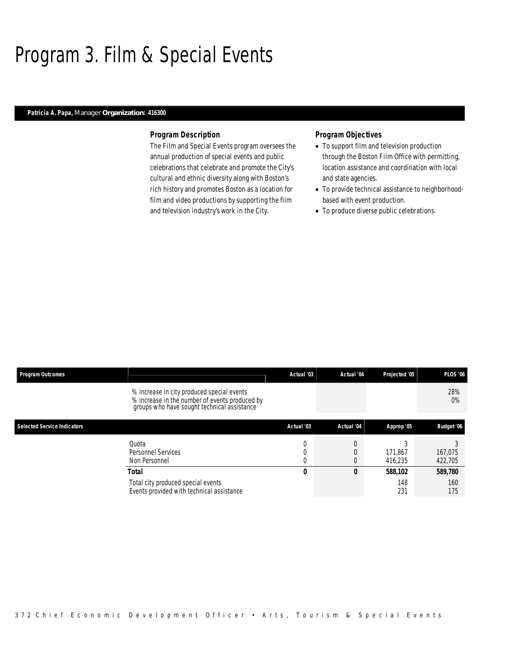## Program 3. Film & Special Events

### *Patricia A. Papa, Manager Organization: 416300*

#### *Program Description*

The Film and Special Events program oversees the annual production of special events and public celebrations that celebrate and promote the City's cultural and ethnic diversity along with Boston's rich history and promotes Boston as a location for film and video productions by supporting the film and television industry's work in the City.

- To support film and television production through the Boston Film Office with permitting, location assistance and coordination with local and state agencies.
- To provide technical assistance to neighborhoodbased with event production.
- To produce diverse public celebrations.

| <b>Program Outcomes</b>            |                                                                                                                                             | Actual '03 | Actual '04    | Projected '05      | <b>PLOS '06</b>    |
|------------------------------------|---------------------------------------------------------------------------------------------------------------------------------------------|------------|---------------|--------------------|--------------------|
|                                    | % increase in city produced special events<br>% increase in the number of events produced by<br>groups who have sought technical assistance |            |               |                    | 28%<br>$0\%$       |
| <b>Selected Service Indicators</b> |                                                                                                                                             | Actual '03 | Actual '04    | Approp '05         | Budget '06         |
|                                    | Ouota<br><b>Personnel Services</b><br>Non Personnel                                                                                         | 0          | 0<br>$\Omega$ | 171.867<br>416.235 | 167,075<br>422,705 |
|                                    | Total                                                                                                                                       | 0          | 0             | 588.102            | 589,780            |
|                                    | Total city produced special events<br>Events provided with technical assistance                                                             |            |               | 148<br>231         | 160<br>175         |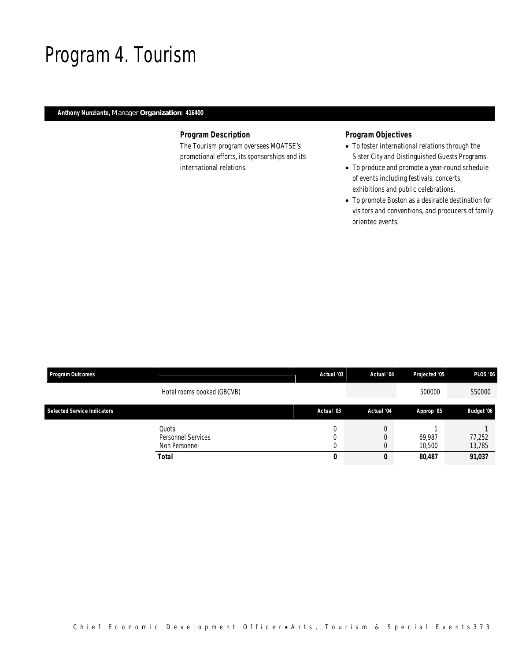## Program 4. Tourism

### *Anthony Nunziante, Manager Organization: 416400*

### *Program Description*

The Tourism program oversees MOATSE's promotional efforts, its sponsorships and its international relations.

- To foster international relations through the Sister City and Distinguished Guests Programs.
- To produce and promote a year-round schedule of events including festivals, concerts, exhibitions and public celebrations.
- To promote Boston as a desirable destination for visitors and conventions, and producers of family oriented events.

| <b>Program Outcomes</b>            |                                                     | Actual '03 | Actual '04 | Projected '05    | <b>PLOS '06</b>   |
|------------------------------------|-----------------------------------------------------|------------|------------|------------------|-------------------|
|                                    | Hotel rooms booked (GBCVB)                          |            |            | 500000           | 550000            |
| <b>Selected Service Indicators</b> |                                                     | Actual '03 | Actual '04 | Approp '05       | <b>Budget '06</b> |
|                                    | Quota<br><b>Personnel Services</b><br>Non Personnel | ∩          | U          | 69.987<br>10,500 | 77,252<br>13,785  |
|                                    | Total                                               | 0          | 0          | 80,487           | 91,037            |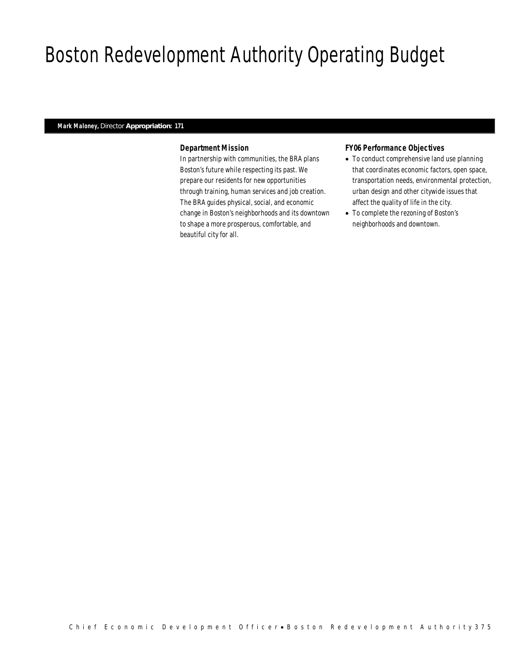# Boston Redevelopment Authority Operating Budget

#### *Mark Maloney, Director Appropriation: 171*

### *Department Mission*

In partnership with communities, the BRA plans Boston's future while respecting its past. We prepare our residents for new opportunities through training, human services and job creation. The BRA guides physical, social, and economic change in Boston's neighborhoods and its downtown to shape a more prosperous, comfortable, and beautiful city for all.

#### *FY06 Performance Objectives*

- To conduct comprehensive land use planning that coordinates economic factors, open space, transportation needs, environmental protection, urban design and other citywide issues that affect the quality of life in the city.
- To complete the rezoning of Boston's neighborhoods and downtown.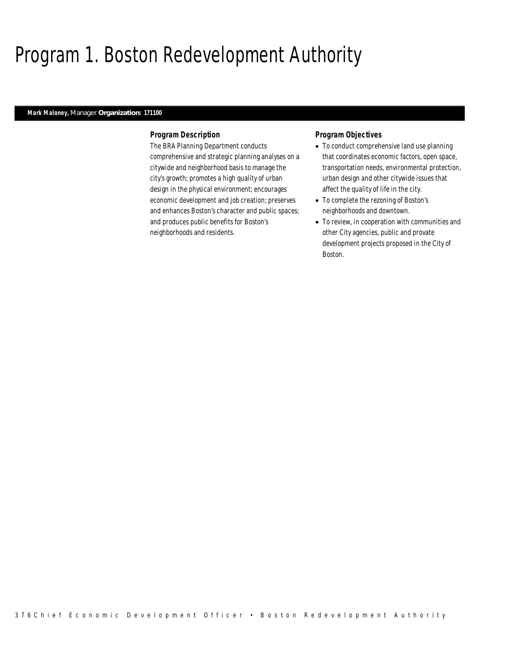# Program 1. Boston Redevelopment Authority

#### *Mark Maloney, Manager Organization: 171100*

#### *Program Description*

The BRA Planning Department conducts comprehensive and strategic planning analyses on a citywide and neighborhood basis to manage the city's growth; promotes a high quality of urban design in the physical environment; encourages economic development and job creation; preserves and enhances Boston's character and public spaces; and produces public benefits for Boston's neighborhoods and residents.

- To conduct comprehensive land use planning that coordinates economic factors, open space, transportation needs, environmental protection, urban design and other citywide issues that affect the quality of life in the city.
- To complete the rezoning of Boston's neighborhoods and downtown.
- To review, in cooperation with communities and other City agencies, public and provate development projects proposed in the City of Boston.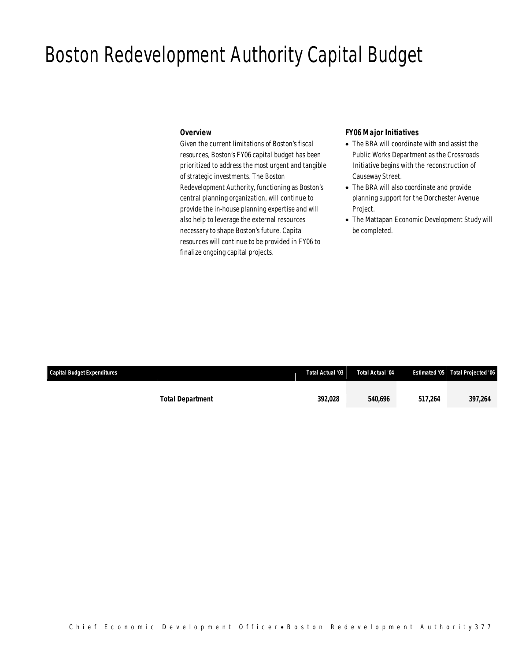## Boston Redevelopment Authority Capital Budget

#### *Overview*

Given the current limitations of Boston's fiscal resources, Boston's FY06 capital budget has been prioritized to address the most urgent and tangible of strategic investments. The Boston Redevelopment Authority, functioning as Boston's central planning organization, will continue to provide the in-house planning expertise and will also help to leverage the external resources necessary to shape Boston's future. Capital resources will continue to be provided in FY06 to finalize ongoing capital projects.

#### *FY06 Major Initiatives*

- The BRA will coordinate with and assist the Public Works Department as the Crossroads Initiative begins with the reconstruction of Causeway Street.
- The BRA will also coordinate and provide planning support for the Dorchester Avenue Project.
- The Mattapan Economic Development Study will be completed.

| Capital Budget Expenditures |                         | Total Actual '03 | Total Actual '04 |         | Estimated '05  Total Projected '06 |
|-----------------------------|-------------------------|------------------|------------------|---------|------------------------------------|
|                             |                         |                  |                  |         |                                    |
|                             | <b>Total Department</b> | 392,028          | 540.696          | 517.264 | 397,264                            |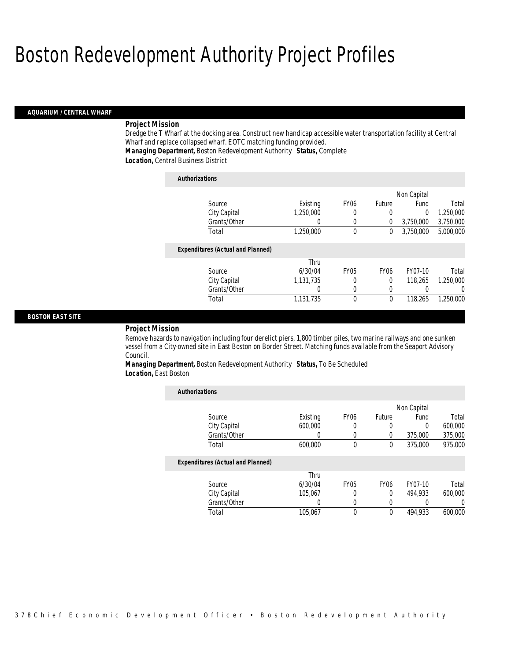#### *AQUARIUM / CENTRAL WHARF*

#### *Project Mission*

Dredge the T Wharf at the docking area. Construct new handicap accessible water transportation facility at Central Wharf and replace collapsed wharf. EOTC matching funding provided. *Managing Department,* Boston Redevelopment Authority *Status,* Complete

*Location,* Central Business District

| <b>Authorizations</b>                    |           |                  |             |             |           |
|------------------------------------------|-----------|------------------|-------------|-------------|-----------|
|                                          |           |                  |             | Non Capital |           |
| Source                                   | Existing  | FY <sub>06</sub> | Future      | Fund        | Total     |
| City Capital                             | 1.250.000 | 0                | 0           | $\theta$    | 1,250,000 |
| Grants/Other                             | 0         | 0                | 0           | 3,750,000   | 3,750,000 |
| Total                                    | 1,250,000 | $\theta$         | 0           | 3.750.000   | 5,000,000 |
| <b>Expenditures (Actual and Planned)</b> |           |                  |             |             |           |
|                                          | Thru      |                  |             |             |           |
| Source                                   | 6/30/04   | <b>FY05</b>      | <b>FY06</b> | FY07-10     | Total     |
| City Capital                             | 1.131.735 | 0                | $\Omega$    | 118.265     | 1.250.000 |
| Grants/Other                             | 0         | 0                | $\left($    |             | $\Omega$  |
| Total                                    | 1.131.735 | 0                | 0           | 118.265     | 1.250.000 |

#### *BOSTON EAST SITE*

#### *Project Mission*

Remove hazards to navigation including four derelict piers, 1,800 timber piles, two marine railways and one sunken vessel from a City-owned site in East Boston on Border Street. Matching funds available from the Seaport Advisory Council.

*Managing Department,* Boston Redevelopment Authority *Status,* To Be Scheduled *Location,* East Boston

| <b>Authorizations</b>                    |          |                  |             |             |         |
|------------------------------------------|----------|------------------|-------------|-------------|---------|
|                                          |          |                  |             | Non Capital |         |
| Source                                   | Existing | FY <sub>06</sub> | Future      | Fund        | Total   |
| City Capital                             | 600,000  | 0                | 0           | $\left($    | 600,000 |
| Grants/Other                             | 0        | 0                | 0           | 375,000     | 375,000 |
| Total                                    | 600,000  | 0                | 0           | 375,000     | 975,000 |
| <b>Expenditures (Actual and Planned)</b> |          |                  |             |             |         |
|                                          | Thru     |                  |             |             |         |
| Source                                   | 6/30/04  | <b>FY05</b>      | <b>FY06</b> | FY07-10     | Total   |
| City Capital                             | 105.067  | 0                | 0           | 494.933     | 600,000 |
| Grants/Other                             | 0        | 0                | 0           |             | 0       |
| Total                                    | 105.067  | 0                | 0           | 494.933     | 600.000 |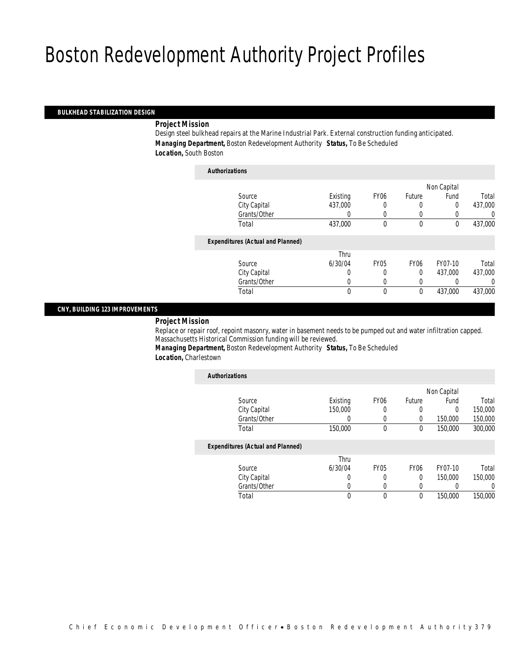#### *BULKHEAD STABILIZATION DESIGN*

#### *Project Mission*

Design steel bulkhead repairs at the Marine Industrial Park. External construction funding anticipated. *Managing Department,* Boston Redevelopment Authority *Status,* To Be Scheduled *Location,* South Boston

| <b>Authorizations</b>                    |          |             |                  |             |         |
|------------------------------------------|----------|-------------|------------------|-------------|---------|
|                                          |          |             |                  | Non Capital |         |
| Source                                   | Existing | <b>FY06</b> | Future           | Fund        | Total   |
| City Capital                             | 437,000  |             | 0                | 0           | 437,000 |
| Grants/Other                             | $\left($ | 0           | 0                |             | 0       |
| Total                                    | 437,000  | 0           | $\mathbf 0$      | $\theta$    | 437,000 |
| <b>Expenditures (Actual and Planned)</b> |          |             |                  |             |         |
|                                          | Thru     |             |                  |             |         |
| Source                                   | 6/30/04  | <b>FY05</b> | FY <sub>06</sub> | FY07-10     | Total   |
| City Capital                             | 0        | 0           | $\Omega$         | 437.000     | 437,000 |
| Grants/Other                             |          |             |                  |             | 0       |
| Total                                    | 0        | 0           | $\theta$         | 437.000     | 437,000 |
|                                          |          |             |                  |             |         |

#### *CNY, BUILDING 123 IMPROVEMENTS*

### *Project Mission*

Replace or repair roof, repoint masonry, water in basement needs to be pumped out and water infiltration capped. Massachusetts Historical Commission funding will be reviewed.

*Managing Department,* Boston Redevelopment Authority *Status,* To Be Scheduled *Location,* Charlestown

| <b>Authorizations</b>                    |          |             |             |             |         |
|------------------------------------------|----------|-------------|-------------|-------------|---------|
|                                          |          |             |             | Non Capital |         |
| Source                                   | Existing | <b>FY06</b> | Future      | Fund        | Total   |
| City Capital                             | 150,000  | 0           | 0           | 0           | 150,000 |
| Grants/Other                             | 0        | 0           | 0           | 150,000     | 150,000 |
| Total                                    | 150,000  | 0           | 0           | 150,000     | 300,000 |
| <b>Expenditures (Actual and Planned)</b> |          |             |             |             |         |
|                                          | Thru     |             |             |             |         |
| Source                                   | 6/30/04  | <b>FY05</b> | <b>FY06</b> | FY07-10     | Total   |
| City Capital                             | 0        | 0           | 0           | 150,000     | 150,000 |
| Grants/Other                             | 0        | 0           | 0           | 0           | 0       |
| Total                                    | 0        | 0           | 0           | 150,000     | 150,000 |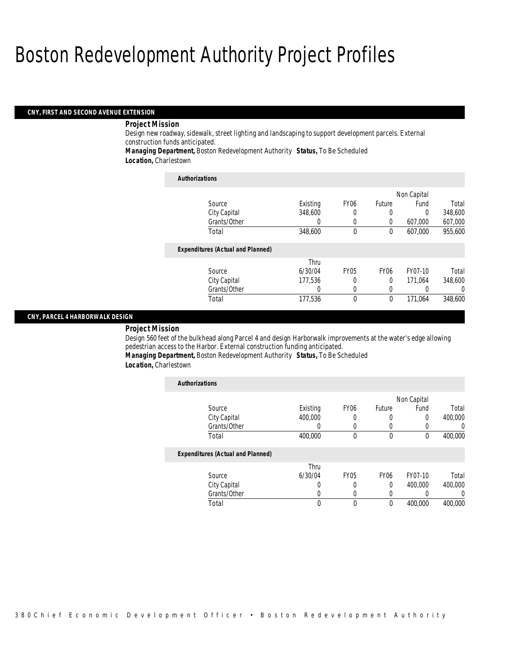#### *CNY, FIRST AND SECOND AVENUE EXTENSION*

### *Project Mission*

Design new roadway, sidewalk, street lighting and landscaping to support development parcels. External construction funds anticipated.

*Managing Department,* Boston Redevelopment Authority *Status,* To Be Scheduled *Location,* Charlestown

| <b>Authorizations</b>                    |          |                  |             |             |         |
|------------------------------------------|----------|------------------|-------------|-------------|---------|
|                                          |          |                  |             | Non Capital |         |
| Source                                   | Existing | FY <sub>06</sub> | Future      | Fund        | Total   |
| City Capital                             | 348,600  | 0                | 0           | $\Omega$    | 348,600 |
| Grants/Other                             | 0        | 0                | $\Omega$    | 607,000     | 607,000 |
| Total                                    | 348,600  | $\Omega$         | $\theta$    | 607,000     | 955,600 |
| <b>Expenditures (Actual and Planned)</b> |          |                  |             |             |         |
|                                          | Thru     |                  |             |             |         |
| Source                                   | 6/30/04  | FY <sub>05</sub> | <b>FY06</b> | FY07-10     | Total   |
| City Capital                             | 177.536  | $\Omega$         | $\Omega$    | 171.064     | 348,600 |
| Grants/Other                             | 0        | 0                | 0           |             | 0       |
| Total                                    | 177,536  | $\theta$         | 0           | 171.064     | 348,600 |

#### *CNY, PARCEL 4 HARBORWALK DESIGN*

#### *Project Mission*

Design 560 feet of the bulkhead along Parcel 4 and design Harborwalk improvements at the water's edge allowing pedestrian access to the Harbor. External construction funding anticipated.

*Managing Department,* Boston Redevelopment Authority *Status,* To Be Scheduled

#### *Location,* Charlestown

| <b>Authorizations</b>                    |          |                  |                  |             |                  |
|------------------------------------------|----------|------------------|------------------|-------------|------------------|
|                                          |          |                  |                  | Non Capital |                  |
| Source                                   | Existing | FY <sub>06</sub> | Future           | Fund        | Total            |
| City Capital                             | 400,000  | 0                |                  | $\Omega$    | 400,000          |
| Grants/Other                             | 0        | $\Omega$         |                  | 0           | $\left( \right)$ |
| Total                                    | 400,000  | $\theta$         | $\theta$         | $\theta$    | 400,000          |
| <b>Expenditures (Actual and Planned)</b> |          |                  |                  |             |                  |
|                                          | Thru     |                  |                  |             |                  |
| Source                                   | 6/30/04  | <b>FY05</b>      | FY <sub>06</sub> | FY07-10     | Total            |
| City Capital                             | 0        | 0                | $\Omega$         | 400,000     | 400.000          |
| Grants/Other                             | U        | 0                | 0                |             | $\left($         |
| Total                                    |          | $\bf{0}$         | 0                | 400,000     | 400.000          |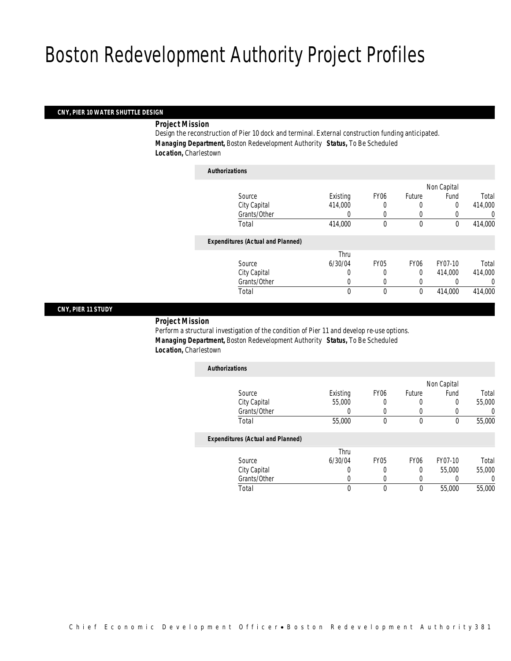#### *CNY, PIER 10 WATER SHUTTLE DESIGN*

#### *Project Mission*

Design the reconstruction of Pier 10 dock and terminal. External construction funding anticipated. *Managing Department,* Boston Redevelopment Authority *Status,* To Be Scheduled *Location,* Charlestown

| <b>Authorizations</b>                    |          |                  |                  |             |          |
|------------------------------------------|----------|------------------|------------------|-------------|----------|
|                                          |          |                  |                  | Non Capital |          |
| Source                                   | Existing | FY <sub>06</sub> | Future           | Fund        | Total    |
| City Capital                             | 414,000  | 0                | 0                | 0           | 414,000  |
| Grants/Other                             | 0        |                  | 0                |             | $\Omega$ |
| Total                                    | 414,000  | 0                | $\mathbf 0$      | 0           | 414,000  |
| <b>Expenditures (Actual and Planned)</b> |          |                  |                  |             |          |
|                                          | Thru     |                  |                  |             |          |
| Source                                   | 6/30/04  | <b>FY05</b>      | FY <sub>06</sub> | FY07-10     | Total    |
| City Capital                             | 0        | 0                | 0                | 414,000     | 414,000  |
| Grants/Other                             | 0        | 0                | 0                |             | $\Omega$ |
| Total                                    | 0        | 0                | $\mathbf 0$      | 414,000     | 414,000  |

#### *CNY, PIER 11 STUDY*

#### *Project Mission*

Perform a structural investigation of the condition of Pier 11 and develop re-use options. *Managing Department,* Boston Redevelopment Authority *Status,* To Be Scheduled *Location,* Charlestown

| <b>Authorizations</b>                    |          |                  |                  |             |        |
|------------------------------------------|----------|------------------|------------------|-------------|--------|
|                                          |          |                  |                  | Non Capital |        |
| Source                                   | Existing | FY <sub>06</sub> | Future           | Fund        | Total  |
| City Capital                             | 55,000   |                  |                  | 0           | 55,000 |
| Grants/Other                             |          |                  |                  |             |        |
| Total                                    | 55,000   | $\theta$         | 0                | 0           | 55,000 |
| <b>Expenditures (Actual and Planned)</b> |          |                  |                  |             |        |
|                                          | Thru     |                  |                  |             |        |
| Source                                   | 6/30/04  | <b>FY05</b>      | FY <sub>06</sub> | FY07-10     | Total  |
| City Capital                             | $\cup$   |                  | $\Omega$         | 55,000      | 55,000 |
| Grants/Other                             |          |                  |                  |             | 0      |
| Total                                    | 0        |                  | $\theta$         | 55,000      | 55,000 |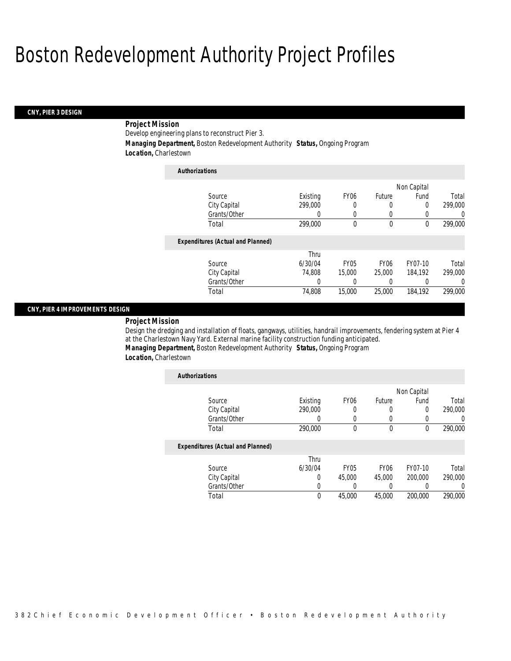#### *CNY, PIER 3 DESIGN*

### *Project Mission*

Develop engineering plans to reconstruct Pier 3.

*Authorizations*

*Managing Department,* Boston Redevelopment Authority *Status,* Ongoing Program

*Location,* Charlestown

| Authorizations                           |          |             |                  |             |         |
|------------------------------------------|----------|-------------|------------------|-------------|---------|
|                                          |          |             |                  | Non Capital |         |
| Source                                   | Existing | <b>FY06</b> | Future           | Fund        | Total   |
| City Capital                             | 299,000  | 0           | 0                | 0           | 299,000 |
| Grants/Other                             | 0        | 0           | 0                |             | 0       |
| Total                                    | 299,000  | 0           | 0                | 0           | 299,000 |
| <b>Expenditures (Actual and Planned)</b> |          |             |                  |             |         |
|                                          | Thru     |             |                  |             |         |
| Source                                   | 6/30/04  | <b>FY05</b> | FY <sub>06</sub> | FY07-10     | Total   |
| City Capital                             | 74.808   | 15,000      | 25,000           | 184.192     | 299,000 |
| Grants/Other                             | 0        | 0           | 0                |             | 0       |
| Total                                    | 74,808   | 15,000      | 25,000           | 184.192     | 299,000 |

#### *CNY, PIER 4 IMPROVEMENTS DESIGN*

#### *Project Mission*

Design the dredging and installation of floats, gangways, utilities, handrail improvements, fendering system at Pier 4 at the Charlestown Navy Yard. External marine facility construction funding anticipated. *Managing Department,* Boston Redevelopment Authority *Status,* Ongoing Program

*Location,* Charlestown

| <b>Authorizations</b>                    |          |                  |                  |             |          |
|------------------------------------------|----------|------------------|------------------|-------------|----------|
|                                          |          |                  |                  | Non Capital |          |
| Source                                   | Existing | FY <sub>06</sub> | Future           | Fund        | Total    |
| City Capital                             | 290,000  | 0                | 0                | 0           | 290,000  |
| Grants/Other                             |          | 0                |                  |             | $\Omega$ |
| Total                                    | 290,000  | 0                | $\mathbf 0$      | $\theta$    | 290,000  |
| <b>Expenditures (Actual and Planned)</b> |          |                  |                  |             |          |
|                                          | Thru     |                  |                  |             |          |
| Source                                   | 6/30/04  | <b>FY05</b>      | FY <sub>06</sub> | FY07-10     | Total    |
| City Capital                             | $\left($ | 45,000           | 45,000           | 200,000     | 290,000  |
| Grants/Other                             | 0        | 0                | 0                |             | 0        |
| Total                                    | 0        | 45,000           | 45.000           | 200,000     | 290,000  |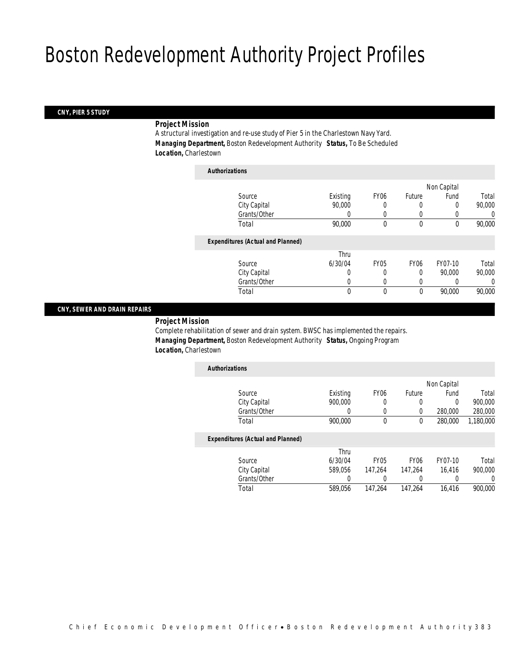#### *CNY, PIER 5 STUDY*

#### *Project Mission*

A structural investigation and re-use study of Pier 5 in the Charlestown Navy Yard. *Managing Department,* Boston Redevelopment Authority *Status,* To Be Scheduled *Location,* Charlestown

| <b>Authorizations</b>                    |          |             |                  |             |        |
|------------------------------------------|----------|-------------|------------------|-------------|--------|
|                                          |          |             |                  | Non Capital |        |
| Source                                   | Existing | <b>FY06</b> | Future           | Fund        | Total  |
| City Capital                             | 90,000   | 0           | 0                |             | 90,000 |
| Grants/Other                             | 0        |             | 0                |             | 0      |
| Total                                    | 90,000   | 0           | $\mathbf 0$      | $\mathbf 0$ | 90,000 |
| <b>Expenditures (Actual and Planned)</b> |          |             |                  |             |        |
|                                          | Thru     |             |                  |             |        |
| Source                                   | 6/30/04  | <b>FY05</b> | FY <sub>06</sub> | FY07-10     | Total  |
| City Capital                             | 0        | 0           | 0                | 90.000      | 90,000 |
| Grants/Other                             | 0        |             | 0                |             | 0      |
| Total                                    | 0        | 0           | $\mathbf 0$      | 90,000      | 90,000 |
|                                          |          |             |                  |             |        |

#### *CNY, SEWER AND DRAIN REPAIRS*

*Project Mission* 

Complete rehabilitation of sewer and drain system. BWSC has implemented the repairs. *Managing Department,* Boston Redevelopment Authority *Status,* Ongoing Program *Location,* Charlestown

| <b>Authorizations</b>                    |          |                  |             |             |           |
|------------------------------------------|----------|------------------|-------------|-------------|-----------|
|                                          |          |                  |             | Non Capital |           |
| Source                                   | Existing | FY <sub>06</sub> | Future      | Fund        | Total     |
| City Capital                             | 900,000  | 0                | 0           | 0           | 900,000   |
| Grants/Other                             |          |                  | 0           | 280,000     | 280,000   |
| Total                                    | 900,000  | 0                | 0           | 280,000     | 1,180,000 |
| <b>Expenditures (Actual and Planned)</b> |          |                  |             |             |           |
|                                          | Thru     |                  |             |             |           |
| Source                                   | 6/30/04  | <b>FY05</b>      | <b>FY06</b> | FY07-10     | Total     |
| City Capital                             | 589.056  | 147.264          | 147.264     | 16.416      | 900.000   |
| Grants/Other                             | 0        |                  |             | 0           | 0         |
| Total                                    | 589.056  | 147.264          | 147.264     | 16.416      | 900.000   |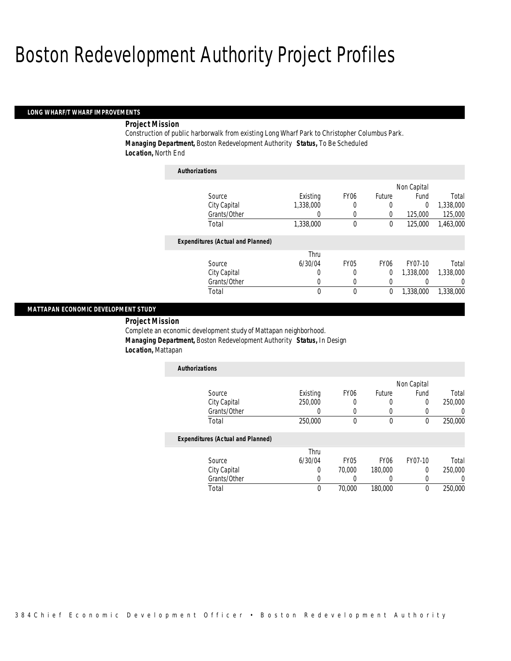#### *LONG WHARF/T WHARF IMPROVEMENTS*

#### *Project Mission*

Construction of public harborwalk from existing Long Wharf Park to Christopher Columbus Park. *Managing Department,* Boston Redevelopment Authority *Status,* To Be Scheduled *Location,* North End

| <b>Authorizations</b>                    |           |             |                  |             |           |
|------------------------------------------|-----------|-------------|------------------|-------------|-----------|
|                                          |           |             |                  | Non Capital |           |
| Source                                   | Existing  | <b>FY06</b> | Future           | Fund        | Total     |
| City Capital                             | 1,338,000 | 0           | 0                | 0           | 1,338,000 |
| Grants/Other                             | 0         | 0           | 0                | 125,000     | 125,000   |
| Total                                    | 1,338,000 | 0           | 0                | 125,000     | 1.463.000 |
| <b>Expenditures (Actual and Planned)</b> |           |             |                  |             |           |
|                                          | Thru      |             |                  |             |           |
| Source                                   | 6/30/04   | <b>FY05</b> | FY <sub>06</sub> | FY07-10     | Total     |
| City Capital                             | 0         | 0           | 0                | 1,338,000   | 1,338,000 |
| Grants/Other                             | 0         | 0           | 0                |             | 0         |
| Total                                    | 0         | 0           | 0                | 1,338,000   | 1.338.000 |

#### *MATTAPAN ECONOMIC DEVELOPMENT STUDY*

*Project Mission* 

Complete an economic development study of Mattapan neighborhood. *Managing Department,* Boston Redevelopment Authority *Status,* In Design *Location,* Mattapan

| <b>Authorizations</b> |          |                  |        |             |         |
|-----------------------|----------|------------------|--------|-------------|---------|
|                       |          |                  |        | Non Capital |         |
| Source                | Existing | FY <sub>06</sub> | Future | Fund        | Total   |
| City Capital          | 250,000  |                  |        |             | 250,000 |
| Grants/Other          |          |                  |        |             |         |
| Total                 | 250,000  |                  |        |             | 250,000 |

#### *Expenditures (Actual and Planned)*

|              | Thru    |        |                  |         |         |
|--------------|---------|--------|------------------|---------|---------|
| Source       | 6/30/04 | FY05   | FY <sub>06</sub> | FY07-10 | Total   |
| City Capital |         | 70.000 | 180,000          |         | 250,000 |
| Grants/Other |         |        |                  |         |         |
| Гоtal        |         | 70,000 | 180,000          |         | 250,000 |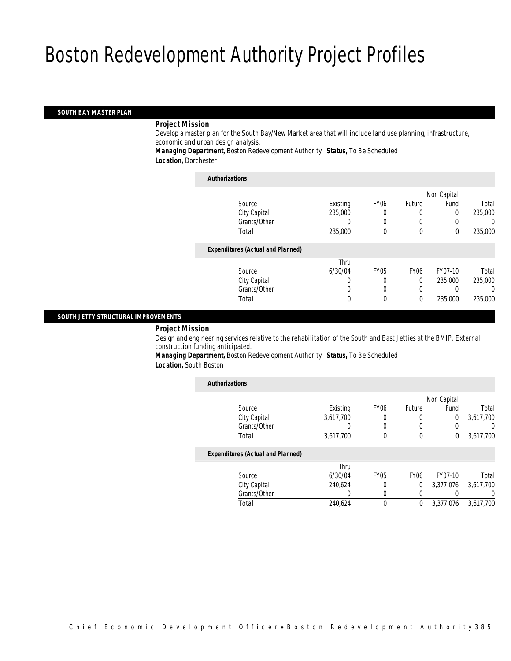#### *SOUTH BAY MASTER PLAN*

#### *Project Mission*

Develop a master plan for the South Bay/New Market area that will include land use planning, infrastructure, economic and urban design analysis.

*Managing Department,* Boston Redevelopment Authority *Status,* To Be Scheduled *Location,* Dorchester

#### *Authorizations*

|                                          |          |                  |                  | Non Capital |         |
|------------------------------------------|----------|------------------|------------------|-------------|---------|
| Source                                   | Existing | FY <sub>06</sub> | Future           | Fund        | Total   |
| City Capital                             | 235,000  |                  | 0                | 0           | 235,000 |
| Grants/Other                             |          |                  |                  |             | 0       |
| Total                                    | 235,000  | 0                | $\mathbf 0$      | $\mathbf 0$ | 235,000 |
| <b>Expenditures (Actual and Planned)</b> |          |                  |                  |             |         |
|                                          | Thru     |                  |                  |             |         |
| Source                                   | 6/30/04  | <b>FY05</b>      | FY <sub>06</sub> | FY07-10     | Total   |
| City Capital                             | 0        | 0                | $\Omega$         | 235,000     | 235,000 |
| Grants/Other                             | 0        |                  | 0                |             | 0       |
| Total                                    | 0        | 0                | $\theta$         | 235,000     | 235,000 |
|                                          |          |                  |                  |             |         |

#### *SOUTH JETTY STRUCTURAL IMPROVEMENTS*

*Project Mission* 

Design and engineering services relative to the rehabilitation of the South and East Jetties at the BMIP. External construction funding anticipated.

*Managing Department,* Boston Redevelopment Authority *Status,* To Be Scheduled *Location,* South Boston

| <b>Authorizations</b>                    |           |                  |                  |             |                  |
|------------------------------------------|-----------|------------------|------------------|-------------|------------------|
|                                          |           |                  |                  | Non Capital |                  |
| Source                                   | Existing  | FY <sub>06</sub> | Future           | Fund        | Total            |
| City Capital                             | 3,617,700 | 0                | 0                | 0           | 3,617,700        |
| Grants/Other                             | 0         | 0                |                  | 0           | 0                |
| Total                                    | 3,617,700 | $\theta$         | $\theta$         | 0           | 3,617,700        |
| <b>Expenditures (Actual and Planned)</b> |           |                  |                  |             |                  |
|                                          | Thru      |                  |                  |             |                  |
| Source                                   | 6/30/04   | <b>FY05</b>      | FY <sub>06</sub> | FY07-10     | Total            |
| City Capital                             | 240.624   | $\Omega$         | $\Omega$         | 3,377,076   | 3,617,700        |
| Grants/Other                             |           | 0                | 0                |             | $\left( \right)$ |
| Total                                    | 240.624   | 0                | 0                | 3,377,076   | 3,617,700        |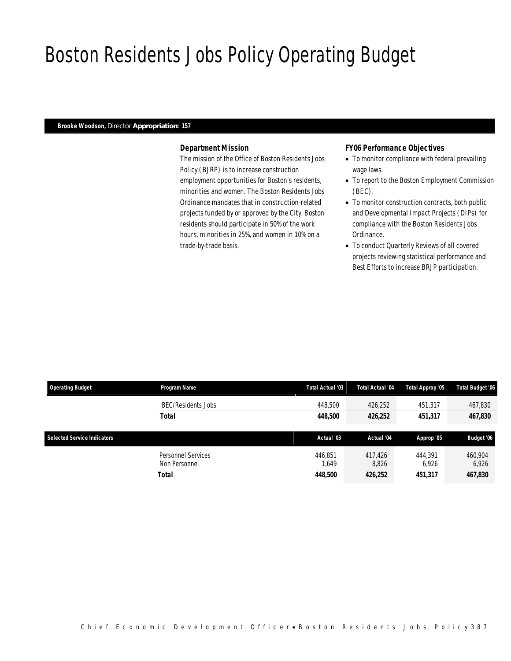# Boston Residents Jobs Policy Operating Budget

#### *Brooke Woodson, Director Appropriation: 157*

### *Department Mission*

The mission of the Office of Boston Residents Jobs Policy (BJRP) is to increase construction employment opportunities for Boston's residents, minorities and women. The Boston Residents Jobs Ordinance mandates that in construction-related projects funded by or approved by the City, Boston residents should participate in 50% of the work hours, minorities in 25%, and women in 10% on a trade-by-trade basis.

#### *FY06 Performance Objectives*

- To monitor compliance with federal prevailing wage laws.
- To report to the Boston Employment Commission (BEC).
- To monitor construction contracts, both public and Developmental Impact Projects (DIPs) for compliance with the Boston Residents Jobs Ordinance.
- To conduct Quarterly Reviews of all covered projects reviewing statistical performance and Best Efforts to increase BRJP participation.

| <b>Operating Budget</b>            | Program Name              | Total Actual '03 | Total Actual '04 | Total Approp '05 | <b>Total Budget '06</b> |
|------------------------------------|---------------------------|------------------|------------------|------------------|-------------------------|
|                                    | <b>BEC/Residents Jobs</b> | 448,500          | 426,252          | 451,317          | 467,830                 |
|                                    | <b>Total</b>              | 448,500          | 426,252          | 451,317          | 467,830                 |
|                                    |                           |                  |                  |                  |                         |
| <b>Selected Service Indicators</b> |                           | Actual '03       | Actual '04       | Approp '05       | Budget '06              |
|                                    | Personnel Services        | 446.851          | 417.426          | 444.391          | 460,904                 |
|                                    | Non Personnel             | 1.649            | 8.826            | 6.926            | 6,926                   |
|                                    | <b>Total</b>              | 448,500          | 426,252          | 451,317          | 467,830                 |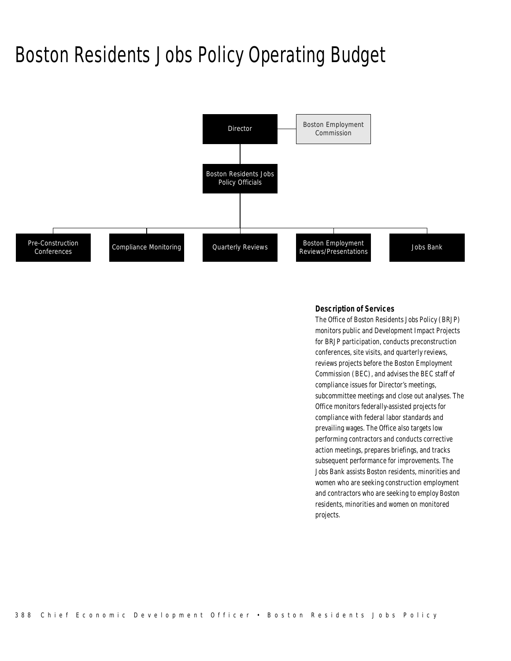## Boston Residents Jobs Policy Operating Budget



#### *Description of Services*

The Office of Boston Residents Jobs Policy (BRJP) monitors public and Development Impact Projects for BRJP participation, conducts preconstruction conferences, site visits, and quarterly reviews, reviews projects before the Boston Employment Commission (BEC), and advises the BEC staff of compliance issues for Director's meetings, subcommittee meetings and close out analyses. The Office monitors federally-assisted projects for compliance with federal labor standards and prevailing wages. The Office also targets low performing contractors and conducts corrective action meetings, prepares briefings, and tracks subsequent performance for improvements. The Jobs Bank assists Boston residents, minorities and women who are seeking construction employment and contractors who are seeking to employ Boston residents, minorities and women on monitored projects.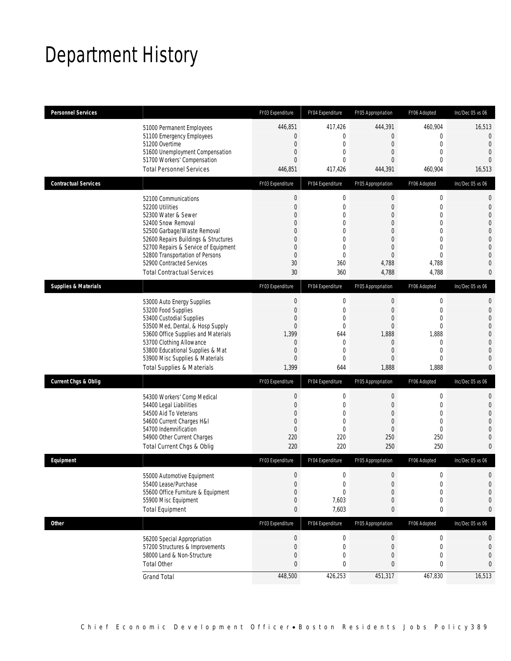# Department History

| <b>Personnel Services</b>       |                                                                                                                                                                                                                                                                                                          | FY03 Expenditure                                                                                                                      | FY04 Expenditure                                                                                                                   | FY05 Appropriation                                                                                                                                   | FY06 Adopted                                                                                                                          | Inc/Dec 05 vs 06                                                                                                                        |
|---------------------------------|----------------------------------------------------------------------------------------------------------------------------------------------------------------------------------------------------------------------------------------------------------------------------------------------------------|---------------------------------------------------------------------------------------------------------------------------------------|------------------------------------------------------------------------------------------------------------------------------------|------------------------------------------------------------------------------------------------------------------------------------------------------|---------------------------------------------------------------------------------------------------------------------------------------|-----------------------------------------------------------------------------------------------------------------------------------------|
|                                 | 51000 Permanent Employees<br>51100 Emergency Employees<br>51200 Overtime<br>51600 Unemployment Compensation<br>51700 Workers' Compensation<br><b>Total Personnel Services</b>                                                                                                                            | 446,851<br>$\mathbf 0$<br>$\overline{0}$<br>$\mathbf 0$<br>$\mathbf{0}$<br>446,851                                                    | 417,426<br>$\mathbf{0}$<br>$\mathbf{0}$<br>0<br>$\mathbf 0$<br>417,426                                                             | 444,391<br>0<br>$\overline{0}$<br>$\mathbf{0}$<br>0<br>444,391                                                                                       | 460,904<br>$\mathbf 0$<br>$\Omega$<br>$\mathbf{0}$<br>$\theta$<br>460,904                                                             | 16,513<br>0<br>$\overline{0}$<br>$\mathbf{0}$<br>$\overline{0}$<br>16,513                                                               |
| <b>Contractual Services</b>     |                                                                                                                                                                                                                                                                                                          | FY03 Expenditure                                                                                                                      | FY04 Expenditure                                                                                                                   | FY05 Appropriation                                                                                                                                   | FY06 Adopted                                                                                                                          | Inc/Dec 05 vs 06                                                                                                                        |
|                                 | 52100 Communications<br>52200 Utilities<br>52300 Water & Sewer<br>52400 Snow Removal<br>52500 Garbage/Waste Removal<br>52600 Repairs Buildings & Structures<br>52700 Repairs & Service of Equipment<br>52800 Transportation of Persons<br>52900 Contracted Services<br><b>Total Contractual Services</b> | $\boldsymbol{0}$<br>$\mathbf 0$<br>$\mathbf{0}$<br>$\mathbf 0$<br>$\mathbf{0}$<br>$\Omega$<br>$\mathbf 0$<br>$\mathbf{0}$<br>30<br>30 | $\boldsymbol{0}$<br>$\mathbf 0$<br>$\mathbf{0}$<br>0<br>$\mathbf{0}$<br>$\mathbf{0}$<br>$\mathbf{0}$<br>$\mathbf{0}$<br>360<br>360 | $\boldsymbol{0}$<br>$\boldsymbol{0}$<br>$\mathbf{0}$<br>$\mathbf{0}$<br>$\mathbf{0}$<br>$\Omega$<br>$\mathbf{0}$<br>$\overline{0}$<br>4,788<br>4,788 | $\mathbf 0$<br>$\mathbf{0}$<br>$\Omega$<br>$\mathbf{0}$<br>$\mathbf{0}$<br>$\Omega$<br>$\mathbf{0}$<br>$\mathbf{0}$<br>4,788<br>4,788 | 0<br>$\boldsymbol{0}$<br>$\mathbf 0$<br>$\mathbf 0$<br>$\boldsymbol{0}$<br>$\theta$<br>$\boldsymbol{0}$<br>$\mathbf 0$<br>$\theta$<br>0 |
| <b>Supplies &amp; Materials</b> |                                                                                                                                                                                                                                                                                                          | FY03 Expenditure                                                                                                                      | FY04 Expenditure                                                                                                                   | FY05 Appropriation                                                                                                                                   | FY06 Adopted                                                                                                                          | Inc/Dec 05 vs 06                                                                                                                        |
|                                 | 53000 Auto Energy Supplies<br>53200 Food Supplies<br>53400 Custodial Supplies<br>53500 Med, Dental, & Hosp Supply<br>53600 Office Supplies and Materials<br>53700 Clothing Allowance<br>53800 Educational Supplies & Mat<br>53900 Misc Supplies & Materials<br>Total Supplies & Materials                | $\mathbf 0$<br>$\overline{0}$<br>$\mathbf{0}$<br>$\mathbf 0$<br>1,399<br>$\mathbf{0}$<br>$\mathbf 0$<br>$\overline{0}$<br>1,399       | $\mathbf 0$<br>$\mathbf 0$<br>0<br>$\mathbf{0}$<br>644<br>0<br>$\mathbf 0$<br>$\mathbf 0$<br>644                                   | $\mathbf 0$<br>$\mathbf{0}$<br>$\mathbf{0}$<br>$\overline{0}$<br>1,888<br>$\mathbf{0}$<br>$\mathbf{0}$<br>$\overline{0}$<br>1,888                    | $\mathbf 0$<br>$\mathbf{0}$<br>$\mathbf{0}$<br>$\mathbf 0$<br>1,888<br>$\Omega$<br>$\mathbf{0}$<br>$\theta$<br>1,888                  | 0<br>$\mathbf 0$<br>$\boldsymbol{0}$<br>$\boldsymbol{0}$<br>$\theta$<br>$\overline{0}$<br>$\mathbf 0$<br>$\mathbf 0$<br>$\mathbf{0}$    |
| <b>Current Chgs &amp; Oblig</b> |                                                                                                                                                                                                                                                                                                          | FY03 Expenditure                                                                                                                      | FY04 Expenditure                                                                                                                   | FY05 Appropriation                                                                                                                                   | FY06 Adopted                                                                                                                          | Inc/Dec 05 vs 06                                                                                                                        |
|                                 | 54300 Workers' Comp Medical<br>54400 Legal Liabilities<br>54500 Aid To Veterans<br>54600 Current Charges H&I<br>54700 Indemnification<br>54900 Other Current Charges<br>Total Current Chgs & Oblig                                                                                                       | $\boldsymbol{0}$<br>$\overline{0}$<br>$\mathbf{0}$<br>$\mathbf 0$<br>$\overline{0}$<br>220<br>220                                     | $\mathbf 0$<br>$\mathbf{0}$<br>0<br>$\mathbf 0$<br>$\mathbf{0}$<br>220<br>220                                                      | $\mathbf 0$<br>$\mathbf{0}$<br>$\overline{0}$<br>$\mathbf 0$<br>$\overline{0}$<br>250<br>250                                                         | $\mathbf 0$<br>$\mathbf{0}$<br>$\mathbf 0$<br>$\overline{0}$<br>$\theta$<br>250<br>250                                                | $\mathbf 0$<br>$\boldsymbol{0}$<br>$\mathbf 0$<br>$\boldsymbol{0}$<br>$\mathbf{0}$<br>$\mathbf 0$<br>$\mathbf{0}$                       |
| Equipment                       |                                                                                                                                                                                                                                                                                                          | FY03 Expenditure                                                                                                                      | FY04 Expenditure                                                                                                                   | FY05 Appropriation                                                                                                                                   | FY06 Adopted                                                                                                                          | Inc/Dec 05 vs 06                                                                                                                        |
|                                 | 55000 Automotive Equipment<br>55400 Lease/Purchase<br>55600 Office Furniture & Equipment<br>55900 Misc Equipment<br><b>Total Equipment</b>                                                                                                                                                               | $\mathbf{0}$<br>$\boldsymbol{0}$<br>$\overline{0}$<br>0<br>0                                                                          | $\mathbf{0}$<br>$\boldsymbol{0}$<br>$\mathbf{0}$<br>7,603<br>7,603                                                                 | $\overline{0}$<br>$\boldsymbol{0}$<br>$\overline{0}$<br>$\mathbf 0$<br>0                                                                             | $\mathbf{0}$<br>$\mathbf 0$<br>$\mathbf 0$<br>0<br>0                                                                                  | $\mathbf{0}$<br>$\theta$<br>$\mathbf 0$<br>0<br>$\bf{0}$                                                                                |
| <b>Other</b>                    |                                                                                                                                                                                                                                                                                                          | FY03 Expenditure                                                                                                                      | FY04 Expenditure                                                                                                                   | FY05 Appropriation                                                                                                                                   | FY06 Adopted                                                                                                                          | Inc/Dec 05 vs 06                                                                                                                        |
|                                 | 56200 Special Appropriation<br>57200 Structures & Improvements<br>58000 Land & Non-Structure<br><b>Total Other</b>                                                                                                                                                                                       | $\boldsymbol{0}$<br>$\mathbf 0$<br>$\overline{0}$<br>$\mathbf{0}$                                                                     | $\boldsymbol{0}$<br>0<br>$\mathbf{0}$<br>0                                                                                         | $\boldsymbol{0}$<br>$\theta$<br>$\overline{0}$<br>0                                                                                                  | 0<br>$\mathbf 0$<br>$\mathbf 0$<br>0                                                                                                  | 0<br>$\mathbf 0$<br>0<br>0                                                                                                              |
|                                 | <b>Grand Total</b>                                                                                                                                                                                                                                                                                       | 448,500                                                                                                                               | 426,253                                                                                                                            | 451,317                                                                                                                                              | 467,830                                                                                                                               | 16,513                                                                                                                                  |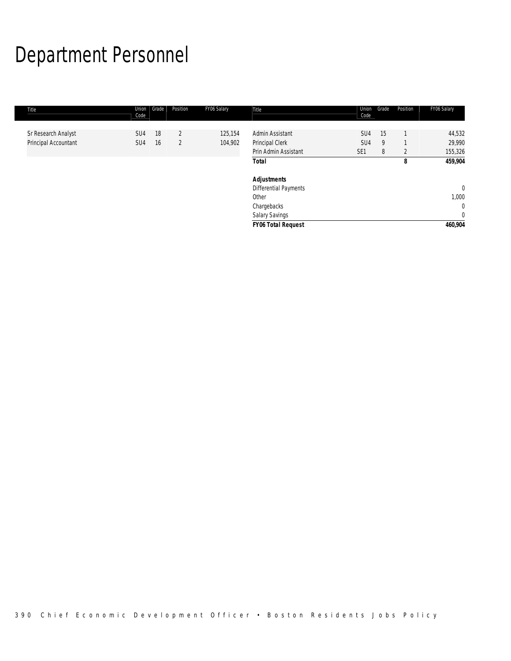# Department Personnel

| Title |                      | Union<br>Code   | Grade | Position       | FY06 Salary | Title                     | Union<br>Code   | Grade | Position | FY06 Salary |
|-------|----------------------|-----------------|-------|----------------|-------------|---------------------------|-----------------|-------|----------|-------------|
|       |                      |                 |       |                |             |                           |                 |       |          |             |
|       | Sr Research Analyst  | SU <sub>4</sub> | 18    | $\overline{2}$ | 125,154     | Admin Assistant           | SU4             | 15    |          | 44,532      |
|       | Principal Accountant | SU4             | 16    | $\overline{2}$ | 104,902     | Principal Clerk           | SU4             | 9     |          | 29,990      |
|       |                      |                 |       |                |             | Prin Admin Assistant      | SE <sub>1</sub> | 8     | 2        | 155,326     |
|       |                      |                 |       |                |             | <b>Total</b>              |                 |       | 8        | 459,904     |
|       |                      |                 |       |                |             | <b>Adjustments</b>        |                 |       |          |             |
|       |                      |                 |       |                |             | Differential Payments     |                 |       |          | $\mathbf 0$ |
|       |                      |                 |       |                |             | Other                     |                 |       |          | 1,000       |
|       |                      |                 |       |                |             | Chargebacks               |                 |       |          | $\mathbf 0$ |
|       |                      |                 |       |                |             | Salary Savings            |                 |       |          | $\mathbf 0$ |
|       |                      |                 |       |                |             | <b>FY06 Total Request</b> |                 |       |          | 460,904     |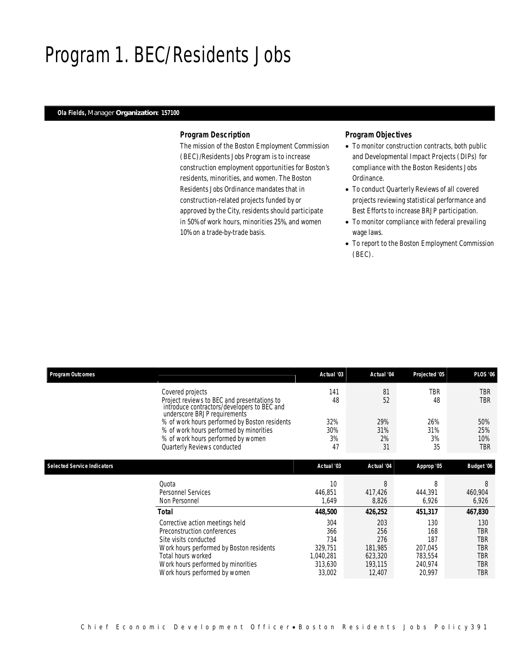## Program 1. BEC/Residents Jobs

#### *Ola Fields, Manager Organization: 157100*

#### *Program Description*

The mission of the Boston Employment Commission (BEC)/Residents Jobs Program is to increase construction employment opportunities for Boston's residents, minorities, and women. The Boston Residents Jobs Ordinance mandates that in construction-related projects funded by or approved by the City, residents should participate in 50% of work hours, minorities 25%, and women 10% on a trade-by-trade basis.

- To monitor construction contracts, both public and Developmental Impact Projects (DIPs) for compliance with the Boston Residents Jobs Ordinance.
- To conduct Quarterly Reviews of all covered projects reviewing statistical performance and Best Efforts to increase BRJP participation.
- To monitor compliance with federal prevailing wage laws.
- To report to the Boston Employment Commission (BEC).

| <b>Program Outcomes</b>            |                                                                                                                                                                                                                                  | Actual '03                                                     | Actual '04                                                   | Projected '05                                                | <b>PLOS '06</b>                                                                         |
|------------------------------------|----------------------------------------------------------------------------------------------------------------------------------------------------------------------------------------------------------------------------------|----------------------------------------------------------------|--------------------------------------------------------------|--------------------------------------------------------------|-----------------------------------------------------------------------------------------|
|                                    | Covered projects<br>Project reviews to BEC and presentations to<br>introduce contractors/developers to BEC and                                                                                                                   | 141<br>48                                                      | 81<br>52                                                     | <b>TBR</b><br>48                                             | <b>TBR</b><br><b>TBR</b>                                                                |
|                                    | underscore BRJP requirements<br>% of work hours performed by Boston residents<br>% of work hours performed by minorities<br>% of work hours performed by women<br>Quarterly Reviews conducted                                    | 32%<br>30%<br>3%<br>47                                         | 29%<br>31%<br>2%<br>31                                       | 26%<br>31%<br>3%<br>35                                       | 50%<br>25%<br>10%<br><b>TBR</b>                                                         |
| <b>Selected Service Indicators</b> |                                                                                                                                                                                                                                  | Actual '03                                                     | Actual '04                                                   | Approp '05                                                   | Budget '06                                                                              |
|                                    | Ouota<br><b>Personnel Services</b><br>Non Personnel                                                                                                                                                                              | 10<br>446,851<br>1,649                                         | 8<br>417,426<br>8,826                                        | 8<br>444,391<br>6,926                                        | 8<br>460,904<br>6,926                                                                   |
|                                    | Total                                                                                                                                                                                                                            | 448,500                                                        | 426,252                                                      | 451,317                                                      | 467,830                                                                                 |
|                                    | Corrective action meetings held<br>Preconstruction conferences<br>Site visits conducted<br>Work hours performed by Boston residents<br>Total hours worked<br>Work hours performed by minorities<br>Work hours performed by women | 304<br>366<br>734<br>329,751<br>1,040,281<br>313,630<br>33,002 | 203<br>256<br>276<br>181,985<br>623,320<br>193,115<br>12,407 | 130<br>168<br>187<br>207,045<br>783,554<br>240,974<br>20,997 | 130<br><b>TBR</b><br><b>TBR</b><br><b>TBR</b><br><b>TBR</b><br><b>TBR</b><br><b>TBR</b> |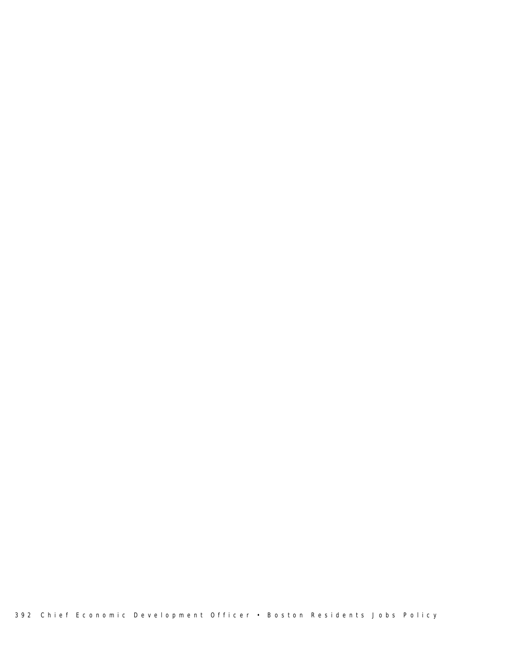392 Chief Economic Developm ent Officer • Boston Re sidents Jobs Policy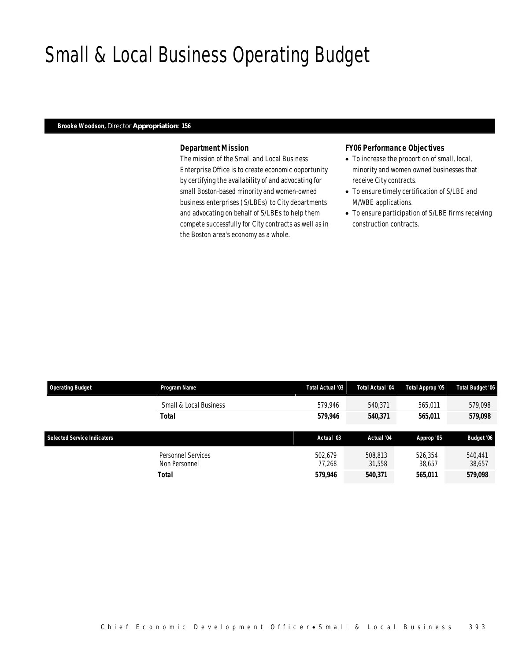# Small & Local Business Operating Budget

#### *Brooke Woodson, Director Appropriation: 156*

### *Department Mission*

The mission of the Small and Local Business Enterprise Office is to create economic opportunity by certifying the availability of and advocating for small Boston-based minority and women-owned business enterprises (S/LBEs) to City departments and advocating on behalf of S/LBEs to help them compete successfully for City contracts as well as in the Boston area's economy as a whole.

#### *FY06 Performance Objectives*

- To increase the proportion of small, local, minority and women owned businesses that receive City contracts.
- To ensure timely certification of S/LBE and M/WBE applications.
- To ensure participation of S/LBE firms receiving construction contracts.

| <b>Operating Budget</b>            | Program Name           | Total Actual '03 | Total Actual '04 | Total Approp '05 | <b>Total Budget '06</b> |
|------------------------------------|------------------------|------------------|------------------|------------------|-------------------------|
|                                    | Small & Local Business | 579.946          | 540.371          | 565.011          | 579,098                 |
|                                    | <b>Total</b>           | 579,946          | 540,371          | 565,011          | 579,098                 |
|                                    |                        |                  |                  |                  |                         |
| <b>Selected Service Indicators</b> |                        | Actual '03       | Actual '04       | Approp '05       | Budget '06              |
|                                    | Personnel Services     | 502.679          | 508,813          | 526.354          | 540,441                 |
|                                    | Non Personnel          | 77.268           | 31,558           | 38,657           | 38,657                  |
|                                    |                        |                  |                  |                  |                         |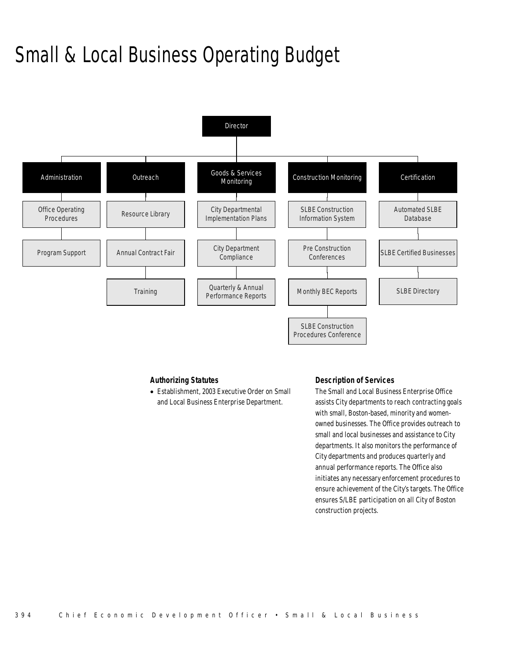# Small & Local Business Operating Budget



### *Authorizing Statutes*

• Establishment, 2003 Executive Order on Small and Local Business Enterprise Department.

### *Description of Services*

The Small and Local Business Enterprise Office assists City departments to reach contracting goals with small, Boston-based, minority and womenowned businesses. The Office provides outreach to small and local businesses and assistance to City departments. It also monitors the performance of City departments and produces quarterly and annual performance reports. The Office also initiates any necessary enforcement procedures to ensure achievement of the City's targets. The Office ensures S/LBE participation on all City of Boston construction projects.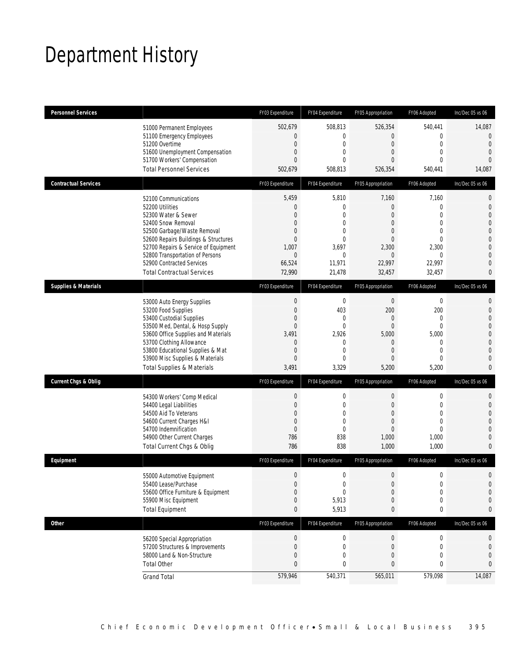# Department History

| <b>Personnel Services</b>       |                                                                                                                                                                                                                                                                                                          | FY03 Expenditure                                                                                                                       | FY04 Expenditure                                                                                                              | FY05 Appropriation                                                                                                                   | FY06 Adopted                                                                                                     | Inc/Dec 05 vs 06                                                                                                                                 |
|---------------------------------|----------------------------------------------------------------------------------------------------------------------------------------------------------------------------------------------------------------------------------------------------------------------------------------------------------|----------------------------------------------------------------------------------------------------------------------------------------|-------------------------------------------------------------------------------------------------------------------------------|--------------------------------------------------------------------------------------------------------------------------------------|------------------------------------------------------------------------------------------------------------------|--------------------------------------------------------------------------------------------------------------------------------------------------|
|                                 | 51000 Permanent Employees<br>51100 Emergency Employees<br>51200 Overtime<br>51600 Unemployment Compensation<br>51700 Workers' Compensation<br><b>Total Personnel Services</b>                                                                                                                            | 502,679<br>$\mathbf 0$<br>$\overline{0}$<br>$\mathbf 0$<br>$\overline{0}$<br>502,679                                                   | 508,813<br>0<br>$\mathbf{0}$<br>$\mathbf 0$<br>$\mathbf{0}$<br>508,813                                                        | 526,354<br>$\overline{0}$<br>$\overline{0}$<br>$\mathbf{0}$<br>$\theta$<br>526,354                                                   | 540,441<br>$\mathbf 0$<br>$\Omega$<br>$\Omega$<br>$\Omega$<br>540,441                                            | 14,087<br>$\mathbf 0$<br>$\overline{0}$<br>$\mathbf{0}$<br>$\theta$<br>14,087                                                                    |
| <b>Contractual Services</b>     |                                                                                                                                                                                                                                                                                                          | FY03 Expenditure                                                                                                                       | FY04 Expenditure                                                                                                              | FY05 Appropriation                                                                                                                   | FY06 Adopted                                                                                                     | Inc/Dec 05 vs 06                                                                                                                                 |
|                                 | 52100 Communications<br>52200 Utilities<br>52300 Water & Sewer<br>52400 Snow Removal<br>52500 Garbage/Waste Removal<br>52600 Repairs Buildings & Structures<br>52700 Repairs & Service of Equipment<br>52800 Transportation of Persons<br>52900 Contracted Services<br><b>Total Contractual Services</b> | 5,459<br>$\overline{0}$<br>$\overline{0}$<br>$\overline{0}$<br>$\overline{0}$<br>$\Omega$<br>1,007<br>$\mathbf{0}$<br>66,524<br>72,990 | 5,810<br>$\mathbf 0$<br>$\mathbf{0}$<br>$\mathbf{0}$<br>$\mathbf{0}$<br>$\Omega$<br>3,697<br>$\mathbf{0}$<br>11,971<br>21,478 | 7,160<br>$\mathbf{0}$<br>$\mathbf{0}$<br>$\overline{0}$<br>$\overline{0}$<br>$\Omega$<br>2,300<br>$\overline{0}$<br>22,997<br>32,457 | 7,160<br>$\Omega$<br>$\Omega$<br>$\Omega$<br>$\overline{0}$<br>$\Omega$<br>2,300<br>$\Omega$<br>22,997<br>32,457 | 0<br>$\mathbf 0$<br>$\boldsymbol{0}$<br>$\boldsymbol{0}$<br>$\boldsymbol{0}$<br>$\theta$<br>$\theta$<br>$\boldsymbol{0}$<br>$\theta$<br>$\bf{0}$ |
| <b>Supplies &amp; Materials</b> |                                                                                                                                                                                                                                                                                                          | FY03 Expenditure                                                                                                                       | FY04 Expenditure                                                                                                              | FY05 Appropriation                                                                                                                   | FY06 Adopted                                                                                                     | Inc/Dec 05 vs 06                                                                                                                                 |
|                                 | 53000 Auto Energy Supplies<br>53200 Food Supplies<br>53400 Custodial Supplies<br>53500 Med, Dental, & Hosp Supply<br>53600 Office Supplies and Materials<br>53700 Clothing Allowance<br>53800 Educational Supplies & Mat<br>53900 Misc Supplies & Materials<br><b>Total Supplies &amp; Materials</b>     | $\mathbf 0$<br>$\overline{0}$<br>$\mathbf{0}$<br>$\mathbf 0$<br>3,491<br>$\overline{0}$<br>$\mathbf{0}$<br>$\mathbf{0}$<br>3,491       | $\mathbf 0$<br>403<br>0<br>$\mathbf 0$<br>2,926<br>$\mathbf{0}$<br>$\mathbf{0}$<br>$\mathbf{0}$<br>3,329                      | $\mathbf{0}$<br>200<br>$\overline{0}$<br>$\mathbf 0$<br>5,000<br>$\mathbf{0}$<br>$\mathbf{0}$<br>0<br>5,200                          | $\mathbf{0}$<br>200<br>$\mathbf{0}$<br>$\mathbf{0}$<br>5,000<br>$\Omega$<br>$\Omega$<br>$\Omega$<br>5,200        | 0<br>$\boldsymbol{0}$<br>$\mathbf 0$<br>$\boldsymbol{0}$<br>$\mathbf{0}$<br>$\theta$<br>$\mathbf{0}$<br>$\mathbf 0$<br>$\mathbf{0}$              |
| <b>Current Chgs &amp; Oblig</b> |                                                                                                                                                                                                                                                                                                          | FY03 Expenditure                                                                                                                       | FY04 Expenditure                                                                                                              | FY05 Appropriation                                                                                                                   | FY06 Adopted                                                                                                     | Inc/Dec 05 vs 06                                                                                                                                 |
|                                 | 54300 Workers' Comp Medical<br>54400 Legal Liabilities<br>54500 Aid To Veterans<br>54600 Current Charges H&I<br>54700 Indemnification<br>54900 Other Current Charges<br>Total Current Chgs & Oblig                                                                                                       | $\boldsymbol{0}$<br>$\mathbf{0}$<br>$\mathbf{0}$<br>$\mathbf 0$<br>$\overline{0}$<br>786<br>786                                        | 0<br>$\mathbf{0}$<br>$\mathbf{0}$<br>$\mathbf{0}$<br>$\mathbf{0}$<br>838<br>838                                               | $\theta$<br>$\mathbf{0}$<br>$\overline{0}$<br>$\overline{0}$<br>$\mathbf{0}$<br>1,000<br>1,000                                       | $\mathbf 0$<br>$\mathbf{0}$<br>$\mathbf 0$<br>$\theta$<br>$\Omega$<br>1,000<br>1,000                             | 0<br>$\mathbf{0}$<br>$\theta$<br>$\mathbf 0$<br>$\theta$<br>$\mathbf 0$<br>$\bf{0}$                                                              |
| Equipment                       |                                                                                                                                                                                                                                                                                                          | FY03 Expenditure                                                                                                                       | FY04 Expenditure                                                                                                              | FY05 Appropriation                                                                                                                   | FY06 Adopted                                                                                                     | Inc/Dec 05 vs 06                                                                                                                                 |
|                                 | 55000 Automotive Equipment<br>55400 Lease/Purchase<br>55600 Office Furniture & Equipment<br>55900 Misc Equipment<br><b>Total Equipment</b>                                                                                                                                                               | $\mathbf 0$<br>$\boldsymbol{0}$<br>$\mathbf{0}$<br>$\mathbf{0}$<br>0                                                                   | $\boldsymbol{0}$<br>$\mathbf 0$<br>$\mathbf{0}$<br>5,913<br>5,913                                                             | $\overline{0}$<br>$\boldsymbol{0}$<br>$\overline{0}$<br>$\mathbf 0$<br>0                                                             | $\boldsymbol{0}$<br>$\mathbf 0$<br>$\mathbf 0$<br>0<br>0                                                         | 0<br>0<br>0<br>0<br>0                                                                                                                            |
| <b>Other</b>                    |                                                                                                                                                                                                                                                                                                          | FY03 Expenditure                                                                                                                       | FY04 Expenditure                                                                                                              | FY05 Appropriation                                                                                                                   | FY06 Adopted                                                                                                     | Inc/Dec 05 vs 06                                                                                                                                 |
|                                 | 56200 Special Appropriation<br>57200 Structures & Improvements<br>58000 Land & Non-Structure<br><b>Total Other</b>                                                                                                                                                                                       | 0<br>$\mathbf 0$<br>$\overline{0}$<br>$\mathbf{0}$<br>579,946                                                                          | $\boldsymbol{0}$<br>0<br>$\mathbf{0}$<br>$\mathbf 0$<br>540,371                                                               | $\boldsymbol{0}$<br>$\mathbf 0$<br>0<br>0<br>565,011                                                                                 | $\boldsymbol{0}$<br>$\mathbf 0$<br>$\Omega$<br>0<br>579,098                                                      | 0<br>$\bf{0}$<br>$\mathbf{0}$<br>0<br>14,087                                                                                                     |
|                                 | <b>Grand Total</b>                                                                                                                                                                                                                                                                                       |                                                                                                                                        |                                                                                                                               |                                                                                                                                      |                                                                                                                  |                                                                                                                                                  |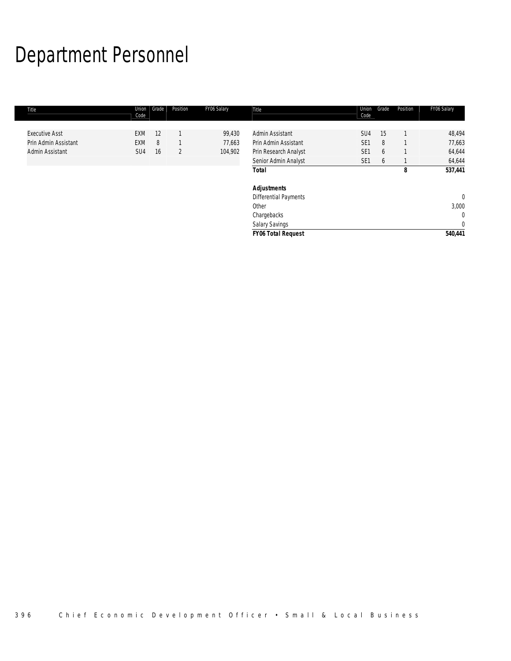# Department Personnel

| Title                 | Union<br>Code   | Grade | Position       | FY06 Salary | Title                     | Union<br>Code   | Grade | Position | FY06 Salary |
|-----------------------|-----------------|-------|----------------|-------------|---------------------------|-----------------|-------|----------|-------------|
| <b>Executive Asst</b> | <b>EXM</b>      | 12    |                | 99,430      | Admin Assistant           | SU4             | 15    |          | 48,494      |
| Prin Admin Assistant  | EXM             | 8     |                | 77,663      | Prin Admin Assistant      | SE <sub>1</sub> | 8     |          | 77,663      |
| Admin Assistant       | SU <sub>4</sub> | 16    | $\overline{2}$ | 104,902     | Prin Research Analyst     | SE <sub>1</sub> | 6     |          | 64,644      |
|                       |                 |       |                |             | Senior Admin Analyst      | SE <sub>1</sub> | 6     |          | 64,644      |
|                       |                 |       |                |             | <b>Total</b>              |                 |       | 8        | 537,441     |
|                       |                 |       |                |             | <b>Adjustments</b>        |                 |       |          |             |
|                       |                 |       |                |             | Differential Payments     |                 |       |          | $\mathbf 0$ |
|                       |                 |       |                |             | Other                     |                 |       |          | 3,000       |
|                       |                 |       |                |             | Chargebacks               |                 |       |          | 0           |
|                       |                 |       |                |             | Salary Savings            |                 |       |          | $\mathbf 0$ |
|                       |                 |       |                |             | <b>FY06 Total Request</b> |                 |       |          | 540,441     |